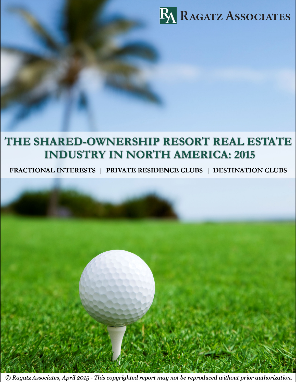

# THE SHARED-OWNERSHIP RESORT REAL ESTATE **INDUSTRY IN NORTH AMERICA: 2015**

FRACTIONAL INTERESTS | PRIVATE RESIDENCE CLUBS | DESTINATION CLUBS

© Ragatz Associates, April 2015 - This copyrighted report may not be reproduced without prior authorization.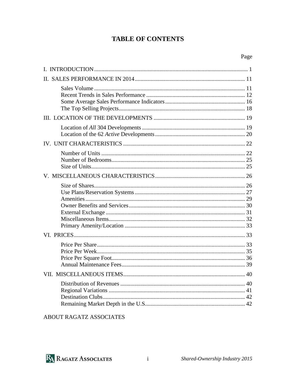## **TABLE OF CONTENTS**

| Page |
|------|
|      |
|      |
|      |
|      |

## ABOUT RAGATZ ASSOCIATES



 $\mathbf{i}$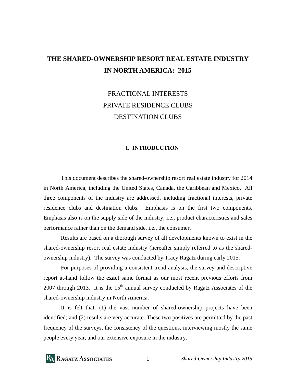## **THE SHARED-OWNERSHIP RESORT REAL ESTATE INDUSTRY IN NORTH AMERICA: 2015**

## FRACTIONAL INTERESTS PRIVATE RESIDENCE CLUBS DESTINATION CLUBS

#### **I. INTRODUCTION**

 This document describes the shared-ownership resort real estate industry for 2014 in North America, including the United States, Canada, the Caribbean and Mexico. All three components of the industry are addressed, including fractional interests, private residence clubs and destination clubs. Emphasis is on the first two components. Emphasis also is on the supply side of the industry, i.e., product characteristics and sales performance rather than on the demand side, i.e., the consumer.

 Results are based on a thorough survey of all developments known to exist in the shared-ownership resort real estate industry (hereafter simply referred to as the sharedownership industry). The survey was conducted by Tracy Ragatz during early 2015.

 For purposes of providing a consistent trend analysis, the survey and descriptive report at-hand follow the **exact** same format as our most recent previous efforts from 2007 through 2013. It is the  $15<sup>th</sup>$  annual survey conducted by Ragatz Associates of the shared-ownership industry in North America.

 It is felt that: (1) the vast number of shared-ownership projects have been identified; and (2) results are very accurate. These two positives are permitted by the past frequency of the surveys, the consistency of the questions, interviewing mostly the same people every year, and our extensive exposure in the industry.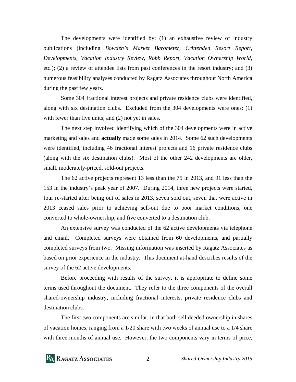The developments were identified by: (1) an exhaustive review of industry publications (including *Bowden's Market Barometer*, *Crittenden Resort Report, Developments, Vacation Industry Review, Robb Report, Vacation Ownership World*, etc.); (2) a review of attendee lists from past conferences in the resort industry; and (3) numerous feasibility analyses conducted by Ragatz Associates throughout North America during the past few years.

 Some 304 fractional interest projects and private residence clubs were identified, along with six destination clubs. Excluded from the 304 developments were ones: (1) with fewer than five units; and (2) not yet in sales.

 The next step involved identifying which of the 304 developments were in active marketing and sales and **actually** made some sales in 2014. Some 62 such developments were identified, including 46 fractional interest projects and 16 private residence clubs (along with the six destination clubs). Most of the other 242 developments are older, small, moderately-priced, sold-out projects.

 The 62 active projects represent 13 less than the 75 in 2013, and 91 less than the 153 in the industry's peak year of 2007. During 2014, three new projects were started, four re-started after being out of sales in 2013, seven sold out, seven that were active in 2013 ceased sales prior to achieving sell-out due to poor market conditions, one converted to whole-ownership, and five converted to a destination club.

 An extensive survey was conducted of the 62 active developments via telephone and email. Completed surveys were obtained from 60 developments, and partially completed surveys from two. Missing information was inserted by Ragatz Associates as based on prior experience in the industry. This document at-hand describes results of the survey of the 62 active developments.

 Before proceeding with results of the survey, it is appropriate to define some terms used throughout the document. They refer to the three components of the overall shared-ownership industry, including fractional interests, private residence clubs and destination clubs.

 The first two components are similar, in that both sell deeded ownership in shares of vacation homes, ranging from a 1/20 share with two weeks of annual use to a 1/4 share with three months of annual use. However, the two components vary in terms of price,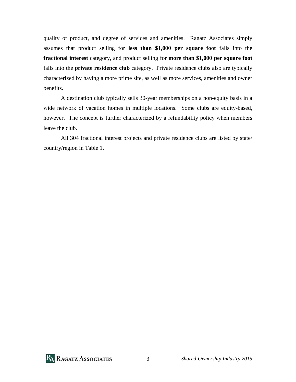quality of product, and degree of services and amenities. Ragatz Associates simply assumes that product selling for **less than \$1,000 per square foot** falls into the **fractional interest** category, and product selling for **more than \$1,000 per square foot** falls into the **private residence club** category. Private residence clubs also are typically characterized by having a more prime site, as well as more services, amenities and owner benefits.

 A destination club typically sells 30-year memberships on a non-equity basis in a wide network of vacation homes in multiple locations. Some clubs are equity-based, however. The concept is further characterized by a refundability policy when members leave the club.

 All 304 fractional interest projects and private residence clubs are listed by state/ country/region in Table 1.

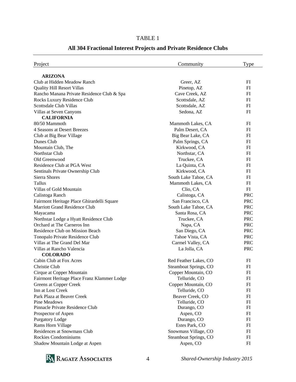### TABLE 1

| Project                                     | Community             | Type       |
|---------------------------------------------|-----------------------|------------|
| <b>ARIZONA</b>                              |                       |            |
| Club at Hidden Meadow Ranch                 | Greer, AZ             | FI         |
| <b>Quality Hill Resort Villas</b>           | Pinetop, AZ           | FI         |
| Rancho Manana Private Residence Club & Spa  | Cave Creek, AZ        | FI         |
| Rocks Luxury Residence Club                 | Scottsdale, AZ        | FI         |
| Scottsdale Club Villas                      | Scottsdale, AZ        | FI         |
| Villas at Seven Canyons                     | Sedona, AZ            | FI         |
| <b>CALIFORNIA</b>                           |                       |            |
| 80/50 Mammoth                               | Mammoth Lakes, CA     | FI         |
| 4 Seasons at Desert Breezes                 | Palm Desert, CA       | FI         |
| Club at Big Bear Village                    | Big Bear Lake, CA     | FI         |
| Dunes Club                                  | Palm Springs, CA      | FI         |
| Mountain Club, The                          | Kirkwood, CA          | FI         |
| Northstar Club                              | Northstar, CA         | FI         |
| Old Greenwood                               | Truckee, CA           | FI         |
| Residence Club at PGA West                  | La Quinta, CA         | FI         |
| Sentinals Private Ownership Club            | Kirkwood, CA          | FI         |
| Sierra Shores                               | South Lake Tahoe, CA  | FI         |
| Tallus                                      | Mammoth Lakes, CA     | FI         |
| Villas of Gold Mountain                     | Clio, CA              | FI         |
| Calistoga Ranch                             | Calistoga, CA         | <b>PRC</b> |
| Fairmont Heritage Place Ghirardelli Square  | San Francisco, CA     | <b>PRC</b> |
| <b>Marriott Grand Residence Club</b>        | South Lake Tahoe, CA  | <b>PRC</b> |
| Mayacama                                    | Santa Rosa, CA        | <b>PRC</b> |
| Northstar Lodge a Hyatt Residence Club      | Truckee, CA           | <b>PRC</b> |
| Orchard at The Carneros Inn                 | Napa, CA              | <b>PRC</b> |
| Residence Club on Mission Beach             | San Diego, CA         | <b>PRC</b> |
| Tonopalo Private Residence Club             | Tahoe Vista, CA       | <b>PRC</b> |
| Villas at The Grand Del Mar                 | Carmel Valley, CA     | <b>PRC</b> |
| Villas at Rancho Valencia                   | La Jolla, CA          | <b>PRC</b> |
| <b>COLORADO</b>                             |                       |            |
| Cabin Club at Fox Acres                     | Red Feather Lakes, CO | FI         |
| Christie Club                               | Steamboat Springs, CO | FI         |
| Cirque at Copper Mountain                   | Copper Mountain, CO   | FI         |
| Fairmont Heritage Place Franz Klammer Lodge | Telluride, CO         | FI         |
| Greens at Copper Creek                      | Copper Mountain, CO   | FI         |
| Inn at Lost Creek                           | Telluride, CO         | FI         |
| Park Plaza at Beaver Creek                  | Beaver Creek, CO      | FI         |
| Pine Meadows                                | Telluride, CO         | FI         |
| Pinnacle Private Residence Club             | Durango, CO           | FI         |
| Prospector of Aspen                         | Aspen, CO             | FI         |
| <b>Purgatory Lodge</b>                      | Durango, CO           | FI         |
| Rams Horn Village                           | Estes Park, CO        | FI         |
| Residences at Snowmass Club                 | Snowmass Village, CO  | FI         |
| <b>Rockies Condominiums</b>                 | Steamboat Springs, CO | FI         |
| Shadow Mountain Lodge at Aspen              | Aspen, CO             | FI         |

### **All 304 Fractional Interest Projects and Private Residence Clubs**

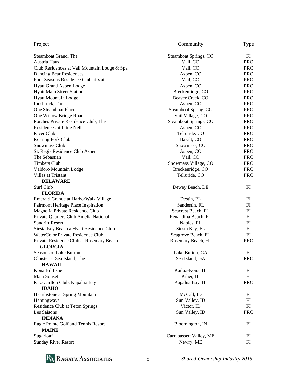| Project                                      | Community               | Type         |
|----------------------------------------------|-------------------------|--------------|
| Steamboat Grand, The                         | Steamboat Springs, CO   | FI           |
| Austria Haus                                 | Vail, CO                | <b>PRC</b>   |
| Club Residences at Vail Mountain Lodge & Spa | Vail, CO                | <b>PRC</b>   |
| Dancing Bear Residences                      | Aspen, CO               | <b>PRC</b>   |
| Four Seasons Residence Club at Vail          | Vail, CO                | <b>PRC</b>   |
| <b>Hyatt Grand Aspen Lodge</b>               | Aspen, CO               | <b>PRC</b>   |
| <b>Hyatt Main Street Station</b>             | Breckenridge, CO        | <b>PRC</b>   |
| <b>Hyatt Mountain Lodge</b>                  | Beaver Creek, CO        | <b>PRC</b>   |
| Innsbruck, The                               | Aspen, CO               | <b>PRC</b>   |
| One Steamboat Place                          | Steamboat Spring, CO    | <b>PRC</b>   |
| One Willow Bridge Road                       | Vail Village, CO        | <b>PRC</b>   |
| Porches Private Residence Club, The          | Steamboat Springs, CO   | <b>PRC</b>   |
| Residences at Little Nell                    | Aspen, CO               | <b>PRC</b>   |
| River Club                                   | Telluride, CO           | <b>PRC</b>   |
| Roaring Fork Club                            | Basalt, CO              | <b>PRC</b>   |
| Snowmass Club                                | Snowmass, CO            | <b>PRC</b>   |
| St. Regis Residence Club Aspen               | Aspen, CO               | <b>PRC</b>   |
| The Sebastian                                | Vail, CO                | <b>PRC</b>   |
| <b>Timbers Club</b>                          | Snowmass Village, CO    | <b>PRC</b>   |
| Valdoro Mountain Lodge                       | Breckenridge, CO        | <b>PRC</b>   |
| Villas at Tristant                           | Telluride, CO           | <b>PRC</b>   |
| <b>DELAWARE</b>                              |                         |              |
| Surf Club                                    | Dewey Beach, DE         | FI           |
| <b>FLORIDA</b>                               |                         |              |
| Emerald Grande at HarborWalk Village         | Destin, FL              | FI           |
| Fairmont Heritage Place Inspiration          | Sandestin, FL           | FI           |
| Magnolia Private Residence Club              | Seacrest Beach, FL      | FI           |
| Private Quarters Club Amelia National        | Fenandina Beach, FL     | FI           |
| Sandrift Resort                              | Naples, FL              | FI           |
| Siesta Key Beach a Hyatt Residence Club      | Siesta Key, FL          | FI           |
| WaterColor Private Residence Club            | Seagrove Beach, FL      | FI           |
| Private Residence Club at Rosemary Beach     | Rosemary Beach, FL      | <b>PRC</b>   |
| <b>GEORGIA</b>                               |                         |              |
| Seasons of Lake Burton                       | Lake Burton, GA         | $_{\rm{FI}}$ |
| Cloister at Sea Island, The                  | Sea Island, GA          | <b>PRC</b>   |
| <b>HAWAII</b>                                |                         |              |
| Kona Billfisher                              | Kailua-Kona, HI         | FI           |
| Maui Sunset                                  | Kihei, HI               | FI           |
| Ritz-Carlton Club, Kapalua Bay               | Kapalua Bay, HI         | PRC          |
| <b>IDAHO</b>                                 |                         |              |
| Hearthstone at Spring Mountain               | McCall, ID              | FI           |
| Hemingways                                   | Sun Valley, ID          | FI           |
| Residence Club at Teton Springs              | Victor, ID              | FI           |
| Les Saisons                                  | Sun Valley, ID          | <b>PRC</b>   |
| <b>INDIANA</b>                               |                         |              |
| Eagle Pointe Golf and Tennis Resort          | Bloomington, IN         | FI           |
| <b>MAINE</b>                                 |                         |              |
| Sugarloaf                                    | Carrabassett Valley, ME | FI           |
| <b>Sunday River Resort</b>                   | Newry, ME               | FI           |

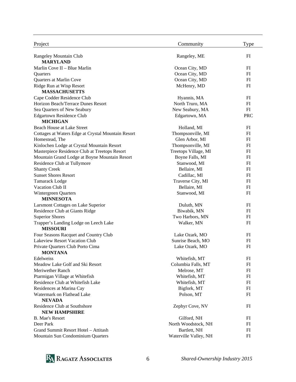| Project                                            | Community             | Type       |
|----------------------------------------------------|-----------------------|------------|
| Rangeley Mountain Club                             | Rangeley, ME          | FI         |
| <b>MARYLAND</b>                                    |                       |            |
| Marlin Cove II - Blue Marlin                       | Ocean City, MD        | FI         |
| Quarters                                           | Ocean City, MD        | FI         |
| Quarters at Marlin Cove                            | Ocean City, MD        | FI         |
| Ridge Run at Wisp Resort                           | McHenry, MD           | FI         |
| <b>MASSACHUSETTS</b>                               |                       |            |
| Cape Codder Residence Club                         | Hyannis, MA           | FI         |
| Horizon Beach/Terrace Dunes Resort                 | North Truro, MA       | FI         |
| Sea Quarters of New Seabury                        | New Seabury, MA       | FI         |
| <b>Edgartown Residence Club</b><br><b>MICHIGAN</b> | Edgartown, MA         | <b>PRC</b> |
| Beach House at Lake Street                         | Holland, MI           | FI         |
| Cottages at Waters Edge at Crystal Mountain Resort | Thompsonville, MI     | FI         |
| Homestead, The                                     | Glen Arbor, MI        | FI         |
| Kinlochen Lodge at Crystal Mountain Resort         | Thompsonville, MI     | FI         |
| Masterpiece Residence Club at Treetops Resort      | Treetops Village, MI  | FI         |
| Mountain Grand Lodge at Boyne Mountain Resort      | Boyne Falls, MI       | FI         |
| Residence Club at Tullymore                        | Stanwood, MI          | FI         |
| <b>Shanty Creek</b>                                | Bellaire, MI          | FI         |
| <b>Sunset Shores Resort</b>                        | Cadillac, MI          | FI         |
| <b>Tamarack Lodge</b>                              | Traverse City, MI     | FI         |
| Vacation Club II                                   | Bellaire, MI          | FI         |
| Wintergreen Quarters                               | Stanwood, MI          | FI         |
| <b>MINNESOTA</b>                                   |                       |            |
| Larsmont Cottages on Lake Superior                 | Duluth, MN            | FI         |
| Residence Club at Giants Ridge                     | Biwabik, MN           | FI         |
| <b>Superior Shores</b>                             | Two Harbors, MN       | FI         |
| Trapper's Landing Lodge on Leech Lake              | Walker, MN            | FI         |
| <b>MISSOURI</b>                                    |                       |            |
| Four Seasons Racquet and Country Club              | Lake Ozark, MO        | FI         |
| Lakeview Resort Vacation Club                      | Sunrise Beach, MO     | FI         |
| Private Quarters Club Porto Cima                   | Lake Ozark, MO        | FI         |
| <b>MONTANA</b>                                     |                       |            |
| Edelweiss                                          | Whitefish, MT         | FI         |
| Meadow Lake Golf and Ski Resort                    | Columbia Falls, MT    | FI         |
| Meriwether Ranch                                   | Melrose, MT           | FI         |
| Ptarmigan Village at Whitefish                     | Whitefish, MT         | FI         |
| Residence Club at Whitefish Lake                   | Whitefish, MT         | FI         |
| Residences at Marina Cay                           | Bigfork, MT           | FI         |
| Watermark on Flathead Lake<br><b>NEVADA</b>        | Polson, MT            | FI         |
| Residence Club at Southshore                       | Zephyr Cove, NV       | FI         |
| <b>NEW HAMPSHIRE</b>                               |                       |            |
| <b>B.</b> Mae's Resort                             | Gilford, NH           | FI         |
| Deer Park                                          | North Woodstock, NH   | FI         |
| Grand Summit Resort Hotel - Attitash               | Bartlett, NH          | FI         |
| Mountain Sun Condominium Quarters                  | Waterville Valley, NH | FI         |

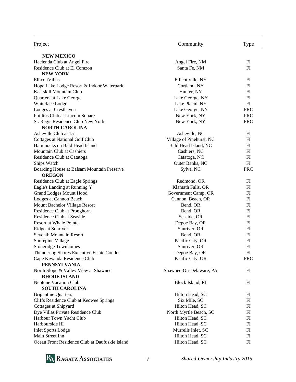| Project                                                     | Community                | Type       |
|-------------------------------------------------------------|--------------------------|------------|
| <b>NEW MEXICO</b>                                           |                          |            |
| Hacienda Club at Angel Fire                                 | Angel Fire, NM           | FI         |
| Residence Club at El Corazon                                | Santa Fe, NM             | FI         |
| <b>NEW YORK</b>                                             |                          |            |
| EllicottVillas                                              | Ellicottville, NY        | FI         |
| Hope Lake Lodge Resort & Indoor Waterpark                   | Cortland, NY             | FI         |
| Kaatskill Mountain Club                                     | Hunter, NY               | FI         |
| Quarters at Lake George                                     | Lake George, NY          | FI         |
| Whiteface Lodge                                             | Lake Placid, NY          | FI         |
| Lodges at Cresthaven                                        | Lake George, NY          | <b>PRC</b> |
| Phillips Club at Lincoln Square                             | New York, NY             | <b>PRC</b> |
| St. Regis Residence Club New York                           | New York, NY             | <b>PRC</b> |
| <b>NORTH CAROLINA</b>                                       |                          |            |
| Asheville Club at 151                                       | Asheville, NC            | FI         |
| Cottages at National Golf Club                              | Village of Pinehurst, NC | FI         |
| Hammocks on Bald Head Island                                | Bald Head Island, NC     | FI         |
| Mountain Club at Cashiers                                   | Cashiers, NC             | FI         |
| Residence Club at Catatoga                                  | Catatoga, NC             | FI         |
| Ships Watch                                                 | Outer Banks, NC          | FI         |
| Boarding House at Balsam Mountain Preserve<br><b>OREGON</b> | Sylva, NC                | <b>PRC</b> |
| Residence Club at Eagle Springs                             | Redmond, OR              | FI         |
| Eagle's Landing at Running Y                                | Klamath Falls, OR        | FI         |
| <b>Grand Lodges Mount Hood</b>                              | Government Camp, OR      | FI         |
| Lodges at Cannon Beach                                      | Cannon Beach, OR         | FI         |
| Mount Bachelor Village Resort                               | Bend, OR                 | FI         |
| Residence Club at Pronghorn                                 | Bend, OR                 | FI         |
| Residence Club at Seaside                                   | Seaside, OR              | FI         |
| <b>Resort at Whale Pointe</b>                               | Depoe Bay, OR            | FI         |
| Ridge at Sunriver                                           | Sunriver, OR             | FI         |
| Seventh Mountain Resort                                     | Bend, OR                 | FI         |
| Shorepine Village                                           | Pacific City, OR         | FI         |
| <b>Stoneridge Townhomes</b>                                 | Sunriver, OR             | FI         |
| Thundering Shores Executive Estate Condos                   | Depoe Bay, OR            | FI         |
| Cape Kiwanda Residence Club                                 | Pacific City, OR         | <b>PRC</b> |
| <b>PENNSYLVANIA</b>                                         |                          |            |
| North Slope & Valley View at Shawnee                        | Shawnee-On-Delaware, PA  | FI         |
| <b>RHODE ISLAND</b>                                         |                          |            |
| <b>Neptune Vacation Club</b>                                | Block Island, RI         | FI         |
| <b>SOUTH CAROLINA</b>                                       |                          |            |
| <b>Brigantine Quarters</b>                                  | Hilton Head, SC          | FI         |
| Cliffs Residence Club at Keowee Springs                     | Six Mile, SC             | FI         |
| Cottages at Shipyard                                        | Hilton Head, SC          | FI         |
| Dye Villas Private Residence Club                           | North Myrtle Beach, SC   | FI         |
| Harbour Town Yacht Club                                     | Hilton Head, SC          | FI         |
| Harbourside III                                             | Hilton Head, SC          | FI         |
| <b>Inlet Sports Lodge</b>                                   | Murrells Inlet, SC       | FI         |
| Main Street Inn                                             | Hilton Head, SC          | FI         |
| Ocean Front Residence Club at Daufuskie Island              | Hilton Head, SC          | FI         |

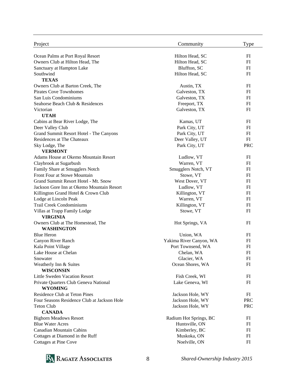| Project                                                | Community               | Type         |
|--------------------------------------------------------|-------------------------|--------------|
| Ocean Palms at Port Royal Resort                       | Hilton Head, SC         | FI           |
| Owners Club at Hilton Head, The                        | Hilton Head, SC         | FI           |
| Sanctuary at Hampton Lake                              | Bluffton, SC            | FI           |
| Southwind                                              | Hilton Head, SC         | FI           |
| <b>TEXAS</b>                                           |                         |              |
| Owners Club at Barton Creek, The                       | Austin, TX              | FI           |
| <b>Pirates Cove Townhomes</b>                          | Galveston, TX           | FI           |
| San Luis Condominiums                                  | Galveston, TX           | FI           |
| Seahorse Beach Club & Residences                       | Freeport, TX            | FI           |
| Victorian                                              | Galveston, TX           | FI           |
| <b>UTAH</b>                                            |                         |              |
| Cabins at Bear River Lodge, The                        | Kamas, UT               | FI           |
| Deer Valley Club                                       | Park City, UT           | FI           |
| Grand Summit Resort Hotel - The Canyons                | Park City, UT           | FI           |
| Residences at The Chateaux                             | Deer Valley, UT         | FI           |
| Sky Lodge, The                                         | Park City, UT           | <b>PRC</b>   |
| <b>VERMONT</b>                                         |                         |              |
| Adams House at Okemo Mountain Resort                   | Ludlow, VT              | FI           |
| Claybrook at Sugarbush                                 | Warren, VT              | FI           |
| Family Share at Smugglers Notch                        | Smugglers Notch, VT     | FI           |
| Front Four at Stowe Mountain                           | Stowe, VT               | FI           |
| Grand Summit Resort Hotel - Mt. Snow                   | West Dover, VT          | FI           |
| Jackson Gore Inn at Okemo Mountain Resort              | Ludlow, VT              | FI           |
| Killington Grand Hotel & Crown Club                    | Killington, VT          | FI           |
| Lodge at Lincoln Peak                                  | Warren, VT              | FI           |
| <b>Trail Creek Condominiums</b>                        | Killington, VT          | FI           |
| Villas at Trapp Family Lodge                           | Stowe, VT               | FI           |
| <b>VIRGINIA</b>                                        |                         |              |
| Owners Club at The Homestead, The<br><b>WASHINGTON</b> | Hot Springs, VA         | FI           |
| <b>Blue Heron</b>                                      | Union, WA               | FI           |
| Canyon River Ranch                                     | Yakima River Canyon, WA | $_{\rm{FI}}$ |
| Kala Point Village                                     | Port Townsend, WA       | FI           |
| Lake House at Chelan                                   | Chelan, WA              | FI           |
| Snowater                                               | Glacier, WA             | FI           |
| Weatherly Inn & Suites<br><b>WISCONSIN</b>             | Ocean Shores, WA        | FI           |
| Little Sweden Vacation Resort                          | Fish Creek, WI          | FI           |
| Private Quarters Club Geneva National                  | Lake Geneva, WI         | FI           |
| <b>WYOMING</b>                                         |                         |              |
| <b>Residence Club at Teton Pines</b>                   | Jackson Hole, WY        | FI           |
| Four Seasons Residence Club at Jackson Hole            | Jackson Hole, WY        | <b>PRC</b>   |
| <b>Teton Club</b>                                      | Jackson Hole, WY        | <b>PRC</b>   |
| <b>CANADA</b>                                          |                         |              |
| <b>Bighorn Meadows Resort</b>                          | Radium Hot Springs, BC  | FI           |
| <b>Blue Water Acres</b>                                | Huntsville, ON          | FI           |
| <b>Canadian Mountain Cabins</b>                        | Kimberley, BC           | $_{\rm{FI}}$ |
| Cottages at Diamond in the Ruff                        | Muskoka, ON             | FI           |
| Cottages at Pine Cove                                  | Noelville, ON           | FI           |

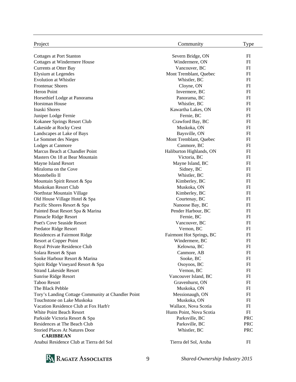| Project                                            | Community                                | Type         |
|----------------------------------------------------|------------------------------------------|--------------|
| <b>Cottages at Port Stanton</b>                    | Severn Bridge, ON                        | FI           |
| Cottages at Windermere House                       | Windermere, ON                           | FI           |
| <b>Currents at Otter Bay</b>                       | Vancouver, BC                            | FI           |
| <b>Elysium at Legendes</b>                         | Mont Tremblant, Quebec                   | FI           |
| <b>Evolution at Whistler</b>                       | Whistler, BC                             | FI           |
| <b>Frontenac Shores</b>                            | Cloyne, ON                               | FI           |
| Heron Point                                        | Invermere, BC                            | FI           |
| Horsethief Lodge at Panorama                       | Panorama, BC                             | FI           |
| Horstman House                                     | Whistler, BC                             | FI           |
| Inaski Shores                                      | Kawartha Lakes, ON                       | FI           |
| Juniper Lodge Fernie                               | Fernie, BC                               | FI           |
| Kokanee Springs Resort Club                        | Crawford Bay, BC                         | FI           |
| Lakeside at Rocky Crest                            | Muskoka, ON                              | FI           |
| Landscapes at Lake of Bays                         | Baysville, ON                            | FI           |
| Le Sommet des Nieges                               | Mont Tremblant, Quebec                   | FI           |
| Lodges at Canmore                                  | Canmore, BC                              | FI           |
| Marcus Beach at Chandler Point                     |                                          | FI           |
| Masters On 18 at Bear Mountain                     | Haliburton Highlands, ON<br>Victoria, BC | FI           |
| Mayne Island Resort                                |                                          | FI           |
| Miraloma on the Cove                               | Mayne Island, BC                         | FI           |
| Montebello II                                      | Sidney, BC                               | FI           |
|                                                    | Whistler, BC                             |              |
| Mountain Spirit Resort & Spa                       | Kimberley, BC                            | FI           |
| Muskokan Resort Club                               | Muskoka, ON                              | FI           |
| Northstar Mountain Village                         | Kimberley, BC                            | FI           |
| Old House Village Hotel & Spa                      | Courtenay, BC                            | FI           |
| Pacific Shores Resort & Spa                        | Nanoose Bay, BC                          | FI           |
| Painted Boat Resort Spa & Marina                   | Pender Harbour, BC                       | FI           |
| Pinnacle Ridge Resort                              | Fernie, BC                               | FI           |
| Poet's Cove Seaside Resort                         | Vancouver, BC                            | FI           |
| Predator Ridge Resort                              | Vernon, BC                               | FI           |
| Residences at Fairmont Ridge                       | Fairmont Hot Springs, BC                 | FI           |
| Resort at Copper Point                             | Windermere, BC                           | FI           |
| Royal Private Residence Club                       | Kelowna, BC                              | FI           |
| Solara Resort & Span                               | Canmore, AB                              | FI           |
| Sooke Harbour Resort & Marina                      | Sooke, BC                                | FI           |
| Spirit Ridge Vineyard Resort & Spa                 | Osoyoos, BC                              | $_{\rm{FI}}$ |
| <b>Strand Lakeside Resort</b>                      | Vernon, BC                               | FI           |
| Sunrise Ridge Resort                               | Vancouver Island, BC                     | FI           |
| <b>Taboo Resort</b>                                | Gravenhurst, ON                          | FI           |
| The Black Pebble                                   | Muskoka, ON                              | FI           |
| Tory's Landing Cottage Community at Chandler Point | Messionaugh, ON                          | FI           |
| Touchstone on Lake Muskoka                         | Muskoka, ON                              | FI           |
| Vacation Residence Club at Fox Harb'r              | Wallace, Nova Scotia                     | FI           |
| <b>White Point Beach Resort</b>                    | Hunts Point, Nova Scotia                 | FI           |
| Parkside Victoria Resort & Spa                     | Parksville, BC                           | <b>PRC</b>   |
| Residences at The Beach Club                       | Parksville, BC                           | <b>PRC</b>   |
| <b>Storied Places At Natures Door</b>              | Whistler, BC                             | <b>PRC</b>   |
| <b>CARIBBEAN</b>                                   |                                          |              |
| Anabui Residence Club at Tierra del Sol            | Tierra del Sol, Aruba                    | FI           |

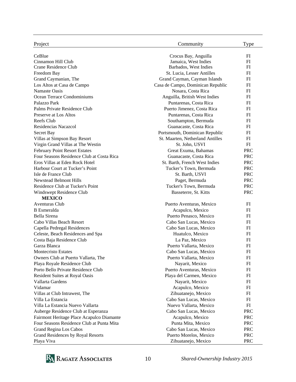| Project                                                          | Community                                    | <b>Type</b>  |
|------------------------------------------------------------------|----------------------------------------------|--------------|
| CeBlue                                                           | Crocus Bay, Anguilla                         | FI           |
| Cinnamon Hill Club                                               | Jamaica, West Indies                         | FI           |
| Crane Residence Club                                             | Barbados, West Indies                        | FI           |
| Freedom Bay                                                      | St. Lucia, Lesser Antilles                   | FI           |
| Grand Caymanian, The                                             | Grand Cayman, Cayman Islands                 | FI           |
| Los Altos at Casa de Campo                                       | Casa de Campo, Dominican Republic            | FI           |
| Namaste Oasis                                                    | Nosara, Costa Rica                           | FI           |
| Ocean Terrace Condominiums                                       | Anguilla, British West Indies                | FI           |
| Palazzo Park                                                     | Puntarenas, Costa Rica                       | FI           |
| Palms Private Residence Club                                     | Puerto Jimenez, Costa Rica                   | FI           |
| Preserve at Los Altos                                            | Puntarenas, Costa Rica                       | FI           |
| Reefs Club                                                       | Southampton, Bermuda                         | FI           |
| Residencias Nacazcol                                             | Guanacaste, Costa Rica                       | FI           |
| Secret Bay                                                       | Portsmouth, Dominican Republic               | FI           |
| Villas at Simpson Bay Resort                                     | St. Maarten, Netherland Antilles             | FI           |
| Virgin Grand Villas at The Westin                                | St. John, USVI                               | FI           |
| <b>February Point Resort Estates</b>                             | Great Exuma, Bahamas                         | <b>PRC</b>   |
| Four Seasons Residence Club at Costa Rica                        | Guanacaste, Costa Rica                       | <b>PRC</b>   |
| Eros Villas at Eden Rock Hotel                                   | St. Barth, French West Indies                | <b>PRC</b>   |
| Harbour Court at Tucker's Point                                  | Tucker's Town, Bermuda                       | <b>PRC</b>   |
| Isle de France Club                                              | St. Barth, USVI                              | <b>PRC</b>   |
| <b>Newstead Belmont Hills</b>                                    | Paget, Bermuda                               | <b>PRC</b>   |
| Residence Club at Tucker's Point                                 | Tucker's Town, Bermuda                       | <b>PRC</b>   |
|                                                                  | Basseterre, St. Kitts                        |              |
| Windswept Residence Club<br><b>MEXICO</b>                        |                                              | <b>PRC</b>   |
| <b>Aventuras Club</b>                                            |                                              | FI           |
| <b>B</b> Esmeralda                                               | Puerto Aventuras, Mexico<br>Acapulco, Mexico | FI           |
| Bella Sirena                                                     | Puerto Penasco, Mexico                       | FI           |
| Cabo Villas Beach Resort                                         | Cabo San Lucas, Mexico                       | FI           |
|                                                                  | Cabo San Lucas, Mexico                       | FI           |
| Capella Pedregal Residences<br>Celeste, Beach Residences and Spa | Huatulco, Mexico                             | FI           |
|                                                                  | La Paz, Mexico                               | FI           |
| Costa Baja Residence Club<br>Garza Blanca                        | Puerto Vallarta, Mexico                      | FI           |
| Montecristo Estates                                              | Cabo San Lucas, Mexico                       | FI           |
|                                                                  |                                              |              |
| Owners Club at Puerto Vallarta, The                              | Puerto Vallarta, Mexico                      | $_{\rm{FI}}$ |
| Playa Royale Residence Club                                      | Nayarit, Mexico                              | $_{\rm{FI}}$ |
| Porto Bello Private Residence Club                               | Puerto Aventuras, Mexico                     | FI           |
| <b>Resident Suites at Royal Oasis</b>                            | Playa del Carmen, Mexico                     | FI           |
| Vallarta Gardens                                                 | Nayarit, Mexico                              | FI           |
| Vidamar                                                          | Acapulco, Mexico                             | FI           |
| Villas at Club Intrawest, The                                    | Zihuatanejo, Mexico                          | FI           |
| Villa La Estancia                                                | Cabo San Lucas, Mexico                       | FI           |
| Villa La Estancia Nuevo Vallarta                                 | Nuevo Vallarta, Mexico                       | FI           |
| Auberge Residence Club at Esperanza                              | Cabo San Lucas, Mexico                       | <b>PRC</b>   |
| Fairmont Heritage Place Acapulco Diamante                        | Acapulco, Mexico                             | <b>PRC</b>   |
| Four Seasons Residence Club at Punta Mita                        | Punta Mita, Mexico                           | <b>PRC</b>   |
| Grand Regina Los Cabos                                           | Cabo San Lucas, Mexico                       | <b>PRC</b>   |
| Grand Residences by Royal Resorts                                | Puerto Morelos, Mexico                       | <b>PRC</b>   |
| Playa Viva                                                       | Zihuatanejo, Mexico                          | <b>PRC</b>   |

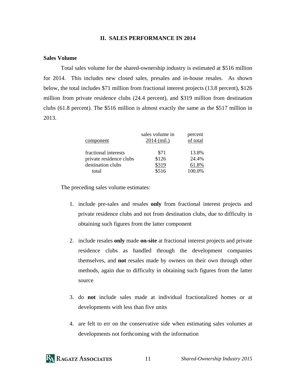#### **II. SALES PERFORMANCE IN 2014**

#### **Sales Volume**

 Total sales volume for the shared-ownership industry is estimated at \$516 million for 2014. This includes new closed sales, presales and in-house resales. As shown below, the total includes \$71 million from fractional interest projects (13.8 percent), \$126 million from private residence clubs (24.4 percent), and \$319 million from destination clubs (61.8 percent). The \$516 million is almost exactly the same as the \$517 million in 2013.

| component               | sales volume in<br>$2014$ (mil.) | percent<br>of total |
|-------------------------|----------------------------------|---------------------|
| fractional interests    | \$71                             | 13.8%               |
| private residence clubs | \$126                            | 24.4%               |
| destination clubs       | \$319                            | 61.8%               |
| total                   | \$516                            | 100.0%              |

The preceding sales volume estimates:

- 1. include pre-sales and resales **only** from fractional interest projects and private residence clubs and not from destination clubs, due to difficulty in obtaining such figures from the latter component
- 2. include resales **only** made **on-site** at fractional interest projects and private residence clubs as handled through the development companies themselves, and **not** resales made by owners on their own through other methods, again due to difficulty in obtaining such figures from the latter source
- 3. do **not** include sales made at individual fractionalized homes or at developments with less than five units
- 4. are felt to err on the conservative side when estimating sales volumes at developments not forthcoming with the information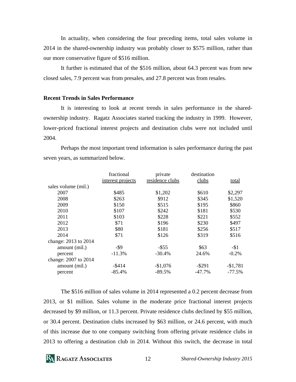In actuality, when considering the four preceding items, total sales volume in 2014 in the shared-ownership industry was probably closer to \$575 million, rather than our more conservative figure of \$516 million.

 It further is estimated that of the \$516 million, about 64.3 percent was from new closed sales, 7.9 percent was from presales, and 27.8 percent was from resales.

#### **Recent Trends in Sales Performance**

 It is interesting to look at recent trends in sales performance in the sharedownership industry. Ragatz Associates started tracking the industry in 1999. However, lower-priced fractional interest projects and destination clubs were not included until 2004.

 Perhaps the most important trend information is sales performance during the past seven years, as summarized below.

|                      | fractional        | private         | destination |           |
|----------------------|-------------------|-----------------|-------------|-----------|
|                      | interest projects | residence clubs | clubs       | total     |
| sales volume (mil.)  |                   |                 |             |           |
| 2007                 | \$485             | \$1,202         | \$610       | \$2,297   |
| 2008                 | \$263             | \$912           | \$345       | \$1,520   |
| 2009                 | \$150             | \$515           | \$195       | \$860     |
| 2010                 | \$107             | \$242           | \$181       | \$530     |
| 2011                 | \$103             | \$228           | \$221       | \$552     |
| 2012                 | \$71              | \$196           | \$230       | \$497     |
| 2013                 | \$80              | \$181           | \$256       | \$517     |
| 2014                 | \$71              | \$126           | \$319       | \$516     |
| change: 2013 to 2014 |                   |                 |             |           |
| amount (mil.)        | -\$9              | $-$ \$55        | \$63        | $-$ \$1   |
| percent              | $-11.3%$          | $-30.4%$        | 24.6%       | $-0.2%$   |
| change: 2007 to 2014 |                   |                 |             |           |
| amount (mil.)        | $-$ \$414         | $-$1,076$       | $-$ \$291   | $-$1,781$ |
| percent              | $-85.4%$          | $-89.5%$        | -47.7%      | $-77.5%$  |

 The \$516 million of sales volume in 2014 represented a 0.2 percent decrease from 2013, or \$1 million. Sales volume in the moderate price fractional interest projects decreased by \$9 million, or 11.3 percent. Private residence clubs declined by \$55 million, or 30.4 percent. Destination clubs increased by \$63 million, or 24.6 percent, with much of this increase due to one company switching from offering private residence clubs in 2013 to offering a destination club in 2014. Without this switch, the decrease in total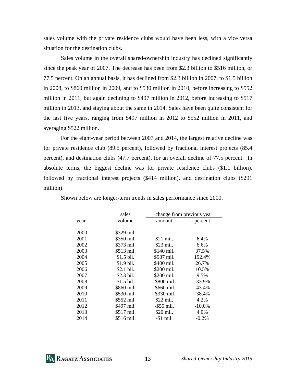sales volume with the private residence clubs would have been less, with a vice versa situation for the destination clubs.

 Sales volume in the overall shared-ownership industry has declined significantly since the peak year of 2007. The decrease has been from \$2.3 billion to \$516 million, or 77.5 percent. On an annual basis, it has declined from \$2.3 billion in 2007, to \$1.5 billion in 2008, to \$860 million in 2009, and to \$530 million in 2010, before increasing to \$552 million in 2011, but again declining to \$497 million in 2012, before increasing to \$517 million in 2013, and staying about the same in 2014. Sales have been quite consistent for the last five years, ranging from \$497 million in 2012 to \$552 million in 2011, and averaging \$522 million.

 For the eight-year period between 2007 and 2014, the largest relative decline was for private residence club (89.5 percent), followed by fractional interest projects (85.4 percent), and destination clubs (47.7 percent), for an overall decline of 77.5 percent. In absolute terms, the biggest decline was for private residence clubs (\$1.1 billion), followed by fractional interest projects (\$414 million), and destination clubs (\$291 million).

|      | sales       | change from previous year |           |
|------|-------------|---------------------------|-----------|
| year | volume      | amount                    | percent   |
| 2000 | \$329 mil.  |                           |           |
| 2001 | \$350 mil.  | \$21 mil.                 | 6.4%      |
| 2002 | \$373 mil.  | \$23 mil.                 | 6.6%      |
| 2003 | \$513 mil.  | \$140 mil.                | 37.5%     |
| 2004 | $$1.5$ bil. | \$987 mil.                | 192.4%    |
| 2005 | \$1.9 bil.  | \$400 mil.                | 26.7%     |
| 2006 | \$2.1 bil.  | \$200 mil.                | 10.5%     |
| 2007 | \$2.3 bil.  | \$200 mil.                | 9.5%      |
| 2008 | $$1.5$ bil. | -\$800 mil.               | $-33.9%$  |
| 2009 | \$860 mil.  | $-$ \$660 mil.            | $-43.4%$  |
| 2010 | \$530 mil.  | $-$ \$330 mil.            | $-38.4%$  |
| 2011 | \$552 mil.  | \$22 mil.                 | 4.2%      |
| 2012 | \$497 mil.  | $-$ \$55 mil.             | $-10.0\%$ |
| 2013 | \$517 mil.  | \$20 mil.                 | 4.0%      |
| 2014 | \$516 mil.  | $-\$1$ mil.               | $-0.2%$   |

Shown below are longer-term trends in sales performance since 2000.

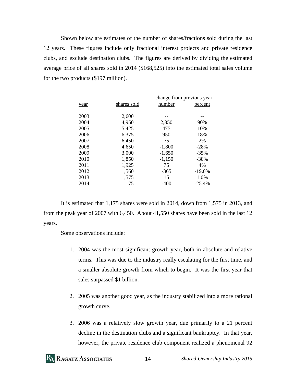Shown below are estimates of the number of shares/fractions sold during the last 12 years. These figures include only fractional interest projects and private residence clubs, and exclude destination clubs. The figures are derived by dividing the estimated average price of all shares sold in 2014 (\$168,525) into the estimated total sales volume for the two products (\$197 million).

|      |             | change from previous year |          |  |
|------|-------------|---------------------------|----------|--|
| year | shares sold | number                    | percent  |  |
|      |             |                           |          |  |
| 2003 | 2,600       |                           |          |  |
| 2004 | 4,950       | 2,350                     | 90%      |  |
| 2005 | 5,425       | 475                       | 10%      |  |
| 2006 | 6,375       | 950                       | 18%      |  |
| 2007 | 6,450       | 75                        | 2%       |  |
| 2008 | 4,650       | $-1,800$                  | $-28%$   |  |
| 2009 | 3,000       | $-1,650$                  | $-35%$   |  |
| 2010 | 1,850       | $-1,150$                  | $-38%$   |  |
| 2011 | 1,925       | 75                        | 4%       |  |
| 2012 | 1,560       | $-365$                    | $-19.0%$ |  |
| 2013 | 1,575       | 15                        | 1.0%     |  |
| 2014 | 1,175       | $-400$                    | $-25.4%$ |  |
|      |             |                           |          |  |

 It is estimated that 1,175 shares were sold in 2014, down from 1,575 in 2013, and from the peak year of 2007 with 6,450. About 41,550 shares have been sold in the last 12 years.

Some observations include:

- 1. 2004 was the most significant growth year, both in absolute and relative terms. This was due to the industry really escalating for the first time, and a smaller absolute growth from which to begin. It was the first year that sales surpassed \$1 billion.
- 2. 2005 was another good year, as the industry stabilized into a more rational growth curve.
- 3. 2006 was a relatively slow growth year, due primarily to a 21 percent decline in the destination clubs and a significant bankruptcy. In that year, however, the private residence club component realized a phenomenal 92

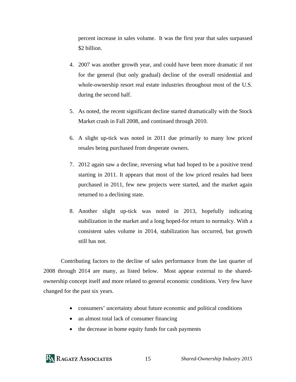percent increase in sales volume. It was the first year that sales surpassed \$2 billion.

- 4. 2007 was another growth year, and could have been more dramatic if not for the general (but only gradual) decline of the overall residential and whole-ownership resort real estate industries throughout most of the U.S. during the second half.
- 5. As noted, the recent significant decline started dramatically with the Stock Market crash in Fall 2008, and continued through 2010.
- 6. A slight up-tick was noted in 2011 due primarily to many low priced resales being purchased from desperate owners.
- 7. 2012 again saw a decline, reversing what had hoped to be a positive trend starting in 2011. It appears that most of the low priced resales had been purchased in 2011, few new projects were started, and the market again returned to a declining state.
- 8. Another slight up-tick was noted in 2013, hopefully indicating stabilization in the market and a long hoped-for return to normalcy. With a consistent sales volume in 2014, stabilization has occurred, but growth still has not.

 Contributing factors to the decline of sales performance from the last quarter of 2008 through 2014 are many, as listed below. Most appear external to the sharedownership concept itself and more related to general economic conditions. Very few have changed for the past six years.

- consumers' uncertainty about future economic and political conditions
- an almost total lack of consumer financing
- the decrease in home equity funds for cash payments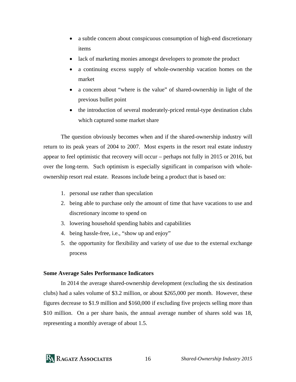- a subtle concern about conspicuous consumption of high-end discretionary items
- lack of marketing monies amongst developers to promote the product
- a continuing excess supply of whole-ownership vacation homes on the market
- a concern about "where is the value" of shared-ownership in light of the previous bullet point
- the introduction of several moderately-priced rental-type destination clubs which captured some market share

 The question obviously becomes when and if the shared-ownership industry will return to its peak years of 2004 to 2007. Most experts in the resort real estate industry appear to feel optimistic that recovery will occur – perhaps not fully in 2015 or 2016, but over the long-term. Such optimism is especially significant in comparison with wholeownership resort real estate. Reasons include being a product that is based on:

- 1. personal use rather than speculation
- 2. being able to purchase only the amount of time that have vacations to use and discretionary income to spend on
- 3. lowering household spending habits and capabilities
- 4. being hassle-free, i.e., "show up and enjoy"
- 5. the opportunity for flexibility and variety of use due to the external exchange process

#### **Some Average Sales Performance Indicators**

 In 2014 the average shared-ownership development (excluding the six destination clubs) had a sales volume of \$3.2 million, or about \$265,000 per month. However, these figures decrease to \$1.9 million and \$160,000 if excluding five projects selling more than \$10 million. On a per share basis, the annual average number of shares sold was 18, representing a monthly average of about 1.5.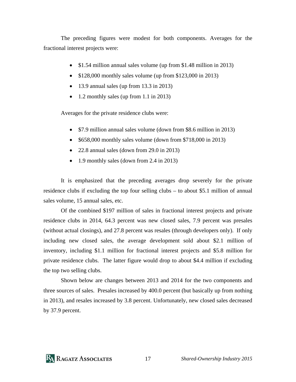The preceding figures were modest for both components. Averages for the fractional interest projects were:

- \$1.54 million annual sales volume (up from \$1.48 million in 2013)
- $\bullet$  \$128,000 monthly sales volume (up from \$123,000 in 2013)
- $\bullet$  13.9 annual sales (up from 13.3 in 2013)
- $\bullet$  1.2 monthly sales (up from 1.1 in 2013)

Averages for the private residence clubs were:

- \$7.9 million annual sales volume (down from \$8.6 million in 2013)
- \$658,000 monthly sales volume (down from \$718,000 in 2013)
- 22.8 annual sales (down from 29.0 in 2013)
- 1.9 monthly sales (down from 2.4 in 2013)

 It is emphasized that the preceding averages drop severely for the private residence clubs if excluding the top four selling clubs – to about \$5.1 million of annual sales volume, 15 annual sales, etc.

 Of the combined \$197 million of sales in fractional interest projects and private residence clubs in 2014, 64.3 percent was new closed sales, 7.9 percent was presales (without actual closings), and 27.8 percent was resales (through developers only). If only including new closed sales, the average development sold about \$2.1 million of inventory, including \$1.1 million for fractional interest projects and \$5.8 million for private residence clubs. The latter figure would drop to about \$4.4 million if excluding the top two selling clubs.

 Shown below are changes between 2013 and 2014 for the two components and three sources of sales. Presales increased by 400.0 percent (but basically up from nothing in 2013), and resales increased by 3.8 percent. Unfortunately, new closed sales decreased by 37.9 percent.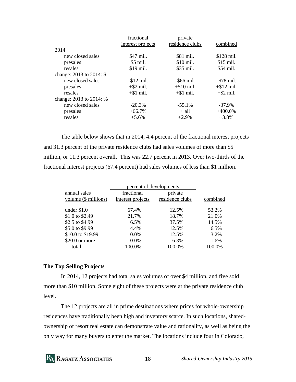|                          | fractional        | private         |               |
|--------------------------|-------------------|-----------------|---------------|
|                          | interest projects | residence clubs | combined      |
| 2014                     |                   |                 |               |
| new closed sales         | \$47 mil.         | \$81 mil.       | \$128 mil.    |
| presales                 | \$5 mil.          | \$10 mil.       | \$15 mil.     |
| resales                  | \$19 mil.         | \$35 mil.       | \$54 mil.     |
| change: 2013 to 2014: \$ |                   |                 |               |
| new closed sales         | $-$ \$12 mil.     | $-$ \$66 mil.   | $-578$ mil.   |
| presales                 | $+$ \$2 mil.      | $+\$10$ mil.    | $+$ \$12 mil. |
| resales                  | $+\$1$ mil.       | $+\$1$ mil.     | $+$ \$2 mil.  |
| change: 2013 to 2014: %  |                   |                 |               |
| new closed sales         | $-20.3%$          | $-55.1%$        | $-37.9\%$     |
| presales                 | $+66.7%$          | $+$ all         | $+400.0\%$    |
| resales                  | $+5.6\%$          | $+2.9%$         | $+3.8%$       |

 The table below shows that in 2014, 4.4 percent of the fractional interest projects and 31.3 percent of the private residence clubs had sales volumes of more than \$5 million, or 11.3 percent overall. This was 22.7 percent in 2013. Over two-thirds of the fractional interest projects (67.4 percent) had sales volumes of less than \$1 million.

| percent of developments |                   |                 |          |  |
|-------------------------|-------------------|-----------------|----------|--|
| annual sales            | fractional        | private         | combined |  |
| volume (\$ millions)    | interest projects | residence clubs |          |  |
| under $$1.0$            | 67.4%             | 12.5%           | 53.2%    |  |
| \$1.0 to \$2.49         | 21.7%             | 18.7%           | 21.0%    |  |
| \$2.5 to \$4.99         | 6.5%              | 37.5%           | 14.5%    |  |
| \$5.0 to \$9.99         | 4.4%              | 12.5%           | 6.5%     |  |
| \$10.0 to \$19.99       | 0.0%              | 12.5%           | 3.2%     |  |
| $$20.0$ or more         | 0.0%              | 6.3%            | 1.6%     |  |
| total                   | 100.0%            | 100.0%          | 100.0%   |  |

#### **The Top Selling Projects**

 In 2014, 12 projects had total sales volumes of over \$4 million, and five sold more than \$10 million. Some eight of these projects were at the private residence club level.

 The 12 projects are all in prime destinations where prices for whole-ownership residences have traditionally been high and inventory scarce. In such locations, sharedownership of resort real estate can demonstrate value and rationality, as well as being the only way for many buyers to enter the market. The locations include four in Colorado,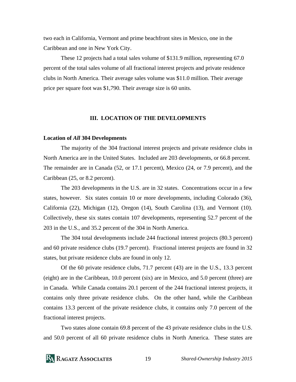two each in California, Vermont and prime beachfront sites in Mexico, one in the Caribbean and one in New York City.

 These 12 projects had a total sales volume of \$131.9 million, representing 67.0 percent of the total sales volume of all fractional interest projects and private residence clubs in North America. Their average sales volume was \$11.0 million. Their average price per square foot was \$1,790. Their average size is 60 units.

#### **III. LOCATION OF THE DEVELOPMENTS**

#### **Location of** *All* **304 Developments**

 The majority of the 304 fractional interest projects and private residence clubs in North America are in the United States. Included are 203 developments, or 66.8 percent. The remainder are in Canada (52, or 17.1 percent), Mexico (24, or 7.9 percent), and the Caribbean (25, or 8.2 percent).

 The 203 developments in the U.S. are in 32 states. Concentrations occur in a few states, however. Six states contain 10 or more developments, including Colorado (36), California (22), Michigan (12), Oregon (14), South Carolina (13), and Vermont (10). Collectively, these six states contain 107 developments, representing 52.7 percent of the 203 in the U.S., and 35.2 percent of the 304 in North America.

 The 304 total developments include 244 fractional interest projects (80.3 percent) and 60 private residence clubs (19.7 percent). Fractional interest projects are found in 32 states, but private residence clubs are found in only 12.

 Of the 60 private residence clubs, 71.7 percent (43) are in the U.S., 13.3 percent (eight) are in the Caribbean, 10.0 percent (six) are in Mexico, and 5.0 percent (three) are in Canada. While Canada contains 20.1 percent of the 244 fractional interest projects, it contains only three private residence clubs. On the other hand, while the Caribbean contains 13.3 percent of the private residence clubs, it contains only 7.0 percent of the fractional interest projects.

 Two states alone contain 69.8 percent of the 43 private residence clubs in the U.S. and 50.0 percent of all 60 private residence clubs in North America. These states are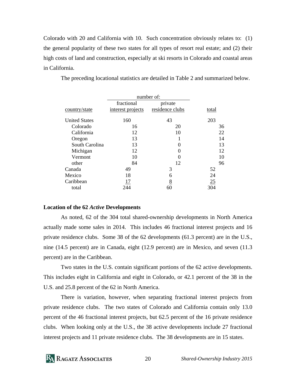Colorado with 20 and California with 10. Such concentration obviously relates to: (1) the general popularity of these two states for all types of resort real estate; and (2) their high costs of land and construction, especially at ski resorts in Colorado and coastal areas in California.

 number of: fractional private country/state interest projects residence clubs total United States 160 43 203 Colorado 16 20 36 California 12 10 22 Oregon 13 14 South Carolina 13 0 13 Michigan  $12$  0  $12$  $Vermont$  10 0 10 other 84 12 96 Canada 49 3 52 Mexico 18 6 24 Caribbean 17 8 25 total 244 60 304

The preceding locational statistics are detailed in Table 2 and summarized below.

#### **Location of the 62** *Active* **Developments**

 As noted, 62 of the 304 total shared-ownership developments in North America actually made some sales in 2014. This includes 46 fractional interest projects and 16 private residence clubs. Some 38 of the 62 developments (61.3 percent) are in the U.S., nine (14.5 percent) are in Canada, eight (12.9 percent) are in Mexico, and seven (11.3 percent) are in the Caribbean.

 Two states in the U.S. contain significant portions of the 62 active developments. This includes eight in California and eight in Colorado, or 42.1 percent of the 38 in the U.S. and 25.8 percent of the 62 in North America.

 There is variation, however, when separating fractional interest projects from private residence clubs. The two states of Colorado and California contain only 13.0 percent of the 46 fractional interest projects, but 62.5 percent of the 16 private residence clubs. When looking only at the U.S., the 38 active developments include 27 fractional interest projects and 11 private residence clubs. The 38 developments are in 15 states.

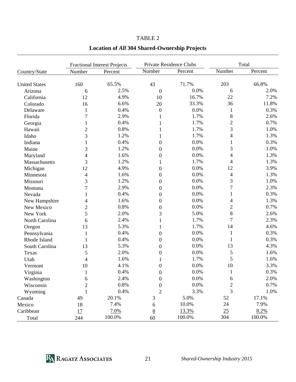|                           |                | <b>Fractional Interest Projects</b> |                  | Private Residence Clubs |                          | Total   |
|---------------------------|----------------|-------------------------------------|------------------|-------------------------|--------------------------|---------|
| Country/State             | Number         | Percent                             | Number           | Percent                 | Number                   | Percent |
| <b>United States</b>      | 160            | 65.5%                               | 43               | 71.7%                   | 203                      | 66.8%   |
| Arizona                   | 6              | 2.5%                                | $\mathbf{0}$     | 0.0%                    | 6                        | 2.0%    |
| California                | 12             | 4.9%                                | 10               | 16.7%                   | 22                       | 7.2%    |
| Colorado                  | 16             | 6.6%                                | 20               | 33.3%                   | 36                       | 11.8%   |
| Delaware                  | $\mathbf{1}$   | 0.4%                                | $\boldsymbol{0}$ | 0.0%                    | $\mathbf{1}$             | 0.3%    |
| Florida                   | $\overline{7}$ | 2.9%                                | 1                | 1.7%                    | 8                        | 2.6%    |
| Georgia                   | $\mathbf{1}$   | 0.4%                                | 1                | 1.7%                    | $\overline{2}$           | 0.7%    |
| Hawaii                    | $\overline{c}$ | 0.8%                                |                  | 1.7%                    | 3                        | 1.0%    |
| Idaho                     | 3              | 1.2%                                | 1                | 1.7%                    | 4                        | 1.3%    |
| Indiana                   | $\mathbf{1}$   | 0.4%                                | $\boldsymbol{0}$ | 0.0%                    | $\mathbf{1}$             | 0.3%    |
| Maine                     | 3              | 1.2%                                | $\boldsymbol{0}$ | 0.0%                    | 3                        | 1.0%    |
|                           | 4              | 1.6%                                | $\boldsymbol{0}$ | 0.0%                    | 4                        | 1.3%    |
| Maryland<br>Massachusetts | 3              | 1.2%                                | 1                | 1.7%                    | 4                        | 1.3%    |
|                           | 12             | 4.9%                                | $\boldsymbol{0}$ | 0.0%                    | 12                       | 3.9%    |
| Michigan<br>Minnesota     | $\overline{4}$ | 1.6%                                | $\boldsymbol{0}$ | 0.0%                    | $\overline{\mathcal{A}}$ | 1.3%    |
| Missouri                  | 3              | 1.2%                                |                  | 0.0%                    | 3                        | 1.0%    |
| Montana                   | 7              | 2.9%                                | $\boldsymbol{0}$ | 0.0%                    | $\overline{7}$           | 2.3%    |
|                           |                | 0.4%                                | $\boldsymbol{0}$ | 0.0%                    |                          | 0.3%    |
| Nevada                    | 1              |                                     | $\boldsymbol{0}$ | 0.0%                    | $\mathbf{1}$             | 1.3%    |
| New Hampshire             | $\overline{4}$ | 1.6%<br>0.8%                        | $\boldsymbol{0}$ | 0.0%                    | 4<br>$\overline{2}$      | 0.7%    |
| New Mexico                | $\overline{c}$ |                                     | $\boldsymbol{0}$ |                         |                          |         |
| New York                  | 5              | 2.0%                                | 3                | 5.0%                    | 8                        | 2.6%    |
| North Carolina            | 6              | 2.4%                                | 1                | 1.7%                    | $\overline{7}$           | 2.3%    |
| Oregon                    | 13             | 5.3%                                | 1                | 1.7%                    | 14                       | 4.6%    |
| Pennsylvania              | $\mathbf 1$    | 0.4%                                | $\boldsymbol{0}$ | 0.0%                    | 1                        | 0.3%    |
| Rhode Island              | 1              | 0.4%                                | $\boldsymbol{0}$ | 0.0%                    | 1                        | 0.3%    |
| South Carolina            | 13             | 5.3%                                | $\boldsymbol{0}$ | 0.0%                    | 13                       | 4.3%    |
| Texas                     | 5              | 2.0%                                | $\boldsymbol{0}$ | 0.0%                    | 5                        | 1.6%    |
| Utah                      | $\overline{4}$ | 1.6%                                | 1                | 1.7%                    | 5                        | 1.6%    |
| Vermont                   | 10             | 4.1%                                | $\overline{0}$   | 0.0%                    | 10                       | 3.3%    |
| Virginia                  | 1              | 0.4%                                | $\overline{0}$   | 0.0%                    | $\mathbf{1}$             | 0.3%    |
| Washington                | 6              | 2.4%                                | $\boldsymbol{0}$ | 0.0%                    | 6                        | 2.0%    |
| Wisconsin                 | $\overline{c}$ | 0.8%                                | $\boldsymbol{0}$ | 0.0%                    | $\overline{c}$           | 0.7%    |
| Wyoming                   | $\mathbf{1}$   | 0.4%                                | $\overline{2}$   | 3.3%                    | $\overline{3}$           | 1.0%    |
| Canada                    | 49             | 20.1%                               | 3                | 5.0%                    | 52                       | 17.1%   |
| Mexico                    | 18             | 7.4%                                | 6                | 10.0%                   | 24                       | 7.9%    |
| Caribbean                 | 17             | 7.0%                                | $\underline{8}$  | 13.3%                   | 25                       | 8.2%    |
| Total                     | 244            | 100.0%                              | 60               | 100.0%                  | 304                      | 100.0%  |

## TABLE 2 **Location of** *All* **304 Shared-Ownership Projects**

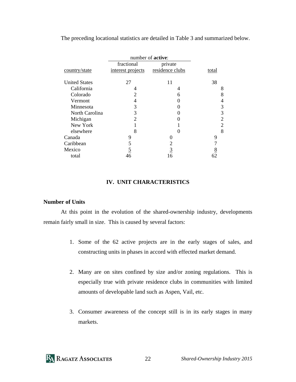The preceding locational statistics are detailed in Table 3 and summarized below.

|                      | number of <b>active</b> :   |                 |                |
|----------------------|-----------------------------|-----------------|----------------|
|                      | fractional                  | private         |                |
| country/state        | interest projects           | residence clubs | total          |
| <b>United States</b> | 27                          | 11              | 38             |
| California           |                             | 4               | 8              |
| Colorado             | 2                           | 6               | 8              |
| Vermont              | 4                           |                 | 4              |
| Minnesota            | 3                           |                 | 3              |
| North Carolina       | 3                           |                 | 3              |
| Michigan             | $\mathcal{D}_{\mathcal{L}}$ |                 | 2              |
| New York             |                             |                 | 2              |
| elsewhere            | 8                           | 0               | 8              |
| Canada               | 9                           |                 | 9              |
| Caribbean            | 5                           | 2               |                |
| Mexico               | <u>5</u>                    | <u>3</u>        |                |
| total                | 46                          | 16              | $\frac{8}{62}$ |

#### **IV. UNIT CHARACTERISTICS**

#### **Number of Units**

 At this point in the evolution of the shared-ownership industry, developments remain fairly small in size. This is caused by several factors:

- 1. Some of the 62 active projects are in the early stages of sales, and constructing units in phases in accord with effected market demand.
- 2. Many are on sites confined by size and/or zoning regulations. This is especially true with private residence clubs in communities with limited amounts of developable land such as Aspen, Vail, etc.
- 3. Consumer awareness of the concept still is in its early stages in many markets.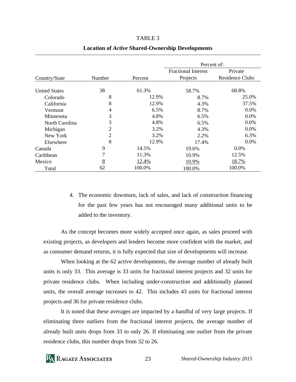| רי<br>וח |  |
|----------|--|
|----------|--|

#### **Location of** *Active* **Shared-Ownership Developments**

|                      |        |         | Percent of:                |                        |  |
|----------------------|--------|---------|----------------------------|------------------------|--|
|                      |        |         | <b>Fractional Interest</b> | Private                |  |
| Country/State        | Number | Percent | Projects                   | <b>Residence Clubs</b> |  |
|                      |        |         |                            |                        |  |
| <b>United States</b> | 38     | 61.3%   | 58.7%                      | 68.8%                  |  |
| Colorado             | 8      | 12.9%   | 8.7%                       | 25.0%                  |  |
| California           | 8      | 12.9%   | 4.3%                       | 37.5%                  |  |
| Vermont              | 4      | 6.5%    | 8.7%                       | $0.0\%$                |  |
| Minnesota            | 3      | 4.8%    | 6.5%                       | $0.0\%$                |  |
| North Carolina       | 3      | 4.8%    | 6.5%                       | $0.0\%$                |  |
| Michigan             | 2      | 3.2%    | 4.3%                       | $0.0\%$                |  |
| New York             | 2      | 3.2%    | 2.2%                       | 6.3%                   |  |
| Elsewhere            | 8      | 12.9%   | 17.4%                      | $0.0\%$                |  |
| Canada               | 9      | 14.5%   | 19.6%                      | $0.0\%$                |  |
| Caribbean            | 7      | 11.3%   | 10.9%                      | 12.5%                  |  |
| Mexico               | 8      | 12.4%   | 10.9%                      | 18.7%                  |  |
| Total                | 62     | 100.0%  | 100.0%                     | 100.0%                 |  |

4. The economic downturn, lack of sales, and lack of construction financing for the past few years has not encouraged many additional units to be added to the inventory.

 As the concept becomes more widely accepted once again, as sales proceed with existing projects, as developers and lenders become more confident with the market, and as consumer demand returns, it is fully expected that size of developments will increase.

 When looking at the 62 active developments, the average number of already built units is only 33. This average is 33 units for fractional interest projects and 32 units for private residence clubs. When including under-construction and additionally planned units, the overall average increases to 42. This includes 43 units for fractional interest projects and 36 for private residence clubs.

 It is noted that these averages are impacted by a handful of very large projects. If eliminating three outliers from the fractional interest projects, the average number of already built units drops from 33 to only 26. If eliminating one outlier from the private residence clubs, this number drops from 32 to 26.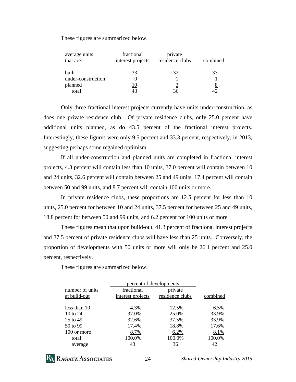These figures are summarized below.

| average units<br>that are: | fractional<br>interest projects | private<br>residence clubs | combined |
|----------------------------|---------------------------------|----------------------------|----------|
| <b>built</b>               | 33                              | 32                         | 33       |
| under-construction         |                                 |                            |          |
| planned                    | 10                              | 3                          | 8        |
| total                      | 43                              | 36                         |          |

 Only three fractional interest projects currently have units under-construction, as does one private residence club. Of private residence clubs, only 25.0 percent have additional units planned, as do 43.5 percent of the fractional interest projects. Interestingly, these figures were only 9.5 percent and 33.3 percent, respectively, in 2013, suggesting perhaps some regained optimism.

 If all under-construction and planned units are completed in fractional interest projects, 4.3 percent will contain less than 10 units, 37.0 percent will contain between 10 and 24 units, 32.6 percent will contain between 25 and 49 units, 17.4 percent will contain between 50 and 99 units, and 8.7 percent will contain 100 units or more.

 In private residence clubs, these proportions are 12.5 percent for less than 10 units, 25.0 percent for between 10 and 24 units, 37.5 percent for between 25 and 49 units, 18.8 percent for between 50 and 99 units, and 6.2 percent for 100 units or more.

 These figures mean that upon build-out, 41.3 percent of fractional interest projects and 37.5 percent of private residence clubs will have less than 25 units. Conversely, the proportion of developments with 50 units or more will only be 26.1 percent and 25.0 percent, respectively.

These figures are summarized below.

|                 | percent of developments |                 |          |
|-----------------|-------------------------|-----------------|----------|
| number of units | fractional              | private         |          |
| at build-out    | interest projects       | residence clubs | combined |
|                 |                         |                 |          |
| less than 10    | 4.3%                    | 12.5%           | 6.5%     |
| 10 to $24$      | 37.0%                   | 25.0%           | 33.9%    |
| 25 to 49        | 32.6%                   | 37.5%           | 33.9%    |
| 50 to 99        | 17.4%                   | 18.8%           | 17.6%    |
| 100 or more     | 8.7%                    | 6.2%            | 8.1%     |
| total           | 100.0%                  | 100.0%          | 100.0%   |
| average         | 43                      | 36              | 42       |

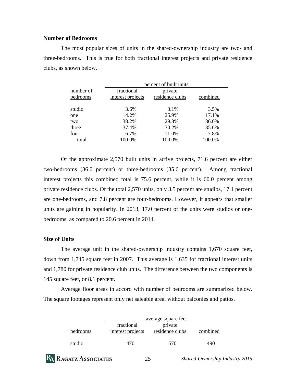#### **Number of Bedrooms**

 The most popular sizes of units in the shared-ownership industry are two- and three-bedrooms. This is true for both fractional interest projects and private residence clubs, as shown below.

|                       |                                 | percent of built units     |          |
|-----------------------|---------------------------------|----------------------------|----------|
| number of<br>bedrooms | fractional<br>interest projects | private<br>residence clubs | combined |
| studio                | 3.6%                            | 3.1%                       | 3.5%     |
| one                   | 14.2%                           | 25.9%                      | 17.1%    |
| two                   | 38.2%                           | 29.8%                      | 36.0%    |
| three                 | 37.4%                           | 30.2%                      | 35.6%    |
| four                  | 6.7%                            | 11.0%                      | 7.8%     |
| total                 | 100.0%                          | 100.0%                     | 100.0%   |
|                       |                                 |                            |          |

 Of the approximate 2,570 built units in active projects, 71.6 percent are either two-bedrooms (36.0 percent) or three-bedrooms (35.6 percent). Among fractional interest projects this combined total is 75.6 percent, while it is 60.0 percent among private residence clubs. Of the total 2,570 units, only 3.5 percent are studios, 17.1 percent are one-bedrooms, and 7.8 percent are four-bedrooms. However, it appears that smaller units are gaining in popularity. In 2013, 17.0 percent of the units were studios or onebedrooms, as compared to 20.6 percent in 2014.

#### **Size of Units**

 The average unit in the shared-ownership industry contains 1,670 square feet, down from 1,745 square feet in 2007. This average is 1,635 for fractional interest units and 1,780 for private residence club units. The difference between the two components is 145 square feet, or 8.1 percent.

 Average floor areas in accord with number of bedrooms are summarized below. The square footages represent only net saleable area, without balconies and patios.

|          |                                 | average square feet        |          |  |  |
|----------|---------------------------------|----------------------------|----------|--|--|
| bedrooms | fractional<br>interest projects | private<br>residence clubs | combined |  |  |
| studio   | 470                             | 570                        | 490      |  |  |

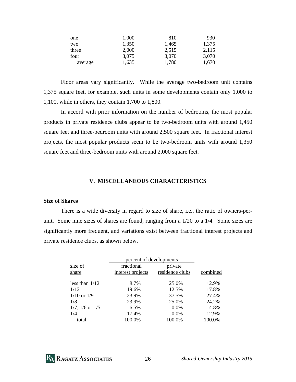| one     | 1,000 | 810   | 930   |
|---------|-------|-------|-------|
| two     | 1,350 | 1,465 | 1,375 |
| three   | 2,000 | 2,515 | 2,115 |
| four    | 3,075 | 3,070 | 3.070 |
| average | 1,635 | 1,780 | 1.670 |

 Floor areas vary significantly. While the average two-bedroom unit contains 1,375 square feet, for example, such units in some developments contain only 1,000 to 1,100, while in others, they contain 1,700 to 1,800.

 In accord with prior information on the number of bedrooms, the most popular products in private residence clubs appear to be two-bedroom units with around 1,450 square feet and three-bedroom units with around 2,500 square feet. In fractional interest projects, the most popular products seem to be two-bedroom units with around 1,350 square feet and three-bedroom units with around 2,000 square feet.

#### **V. MISCELLANEOUS CHARACTERISTICS**

#### **Size of Shares**

 There is a wide diversity in regard to size of share, i.e., the ratio of owners-perunit. Some nine sizes of shares are found, ranging from a 1/20 to a 1/4. Some sizes are significantly more frequent, and variations exist between fractional interest projects and private residence clubs, as shown below.

|                        | percent of developments         |                            |          |
|------------------------|---------------------------------|----------------------------|----------|
| size of<br>share       | fractional<br>interest projects | private<br>residence clubs | combined |
| less than 1/12         | 8.7%                            | 25.0%                      | 12.9%    |
| 1/12                   | 19.6%                           | 12.5%                      | 17.8%    |
| $1/10$ or $1/9$        | 23.9%                           | 37.5%                      | 27.4%    |
| 1/8                    | 23.9%                           | 25.0%                      | 24.2%    |
| $1/7$ , $1/6$ or $1/5$ | 6.5%                            | $0.0\%$                    | 4.8%     |
| 1/4                    | 17.4%                           | 0.0%                       | 12.9%    |
| total                  | 100.0%                          | 100.0%                     | 100.0%   |
|                        |                                 |                            |          |

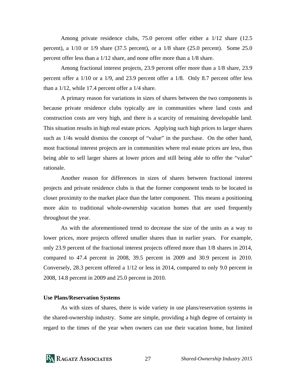Among private residence clubs, 75.0 percent offer either a 1/12 share (12.5 percent), a  $1/10$  or  $1/9$  share (37.5 percent), or a  $1/8$  share (25.0 percent). Some 25.0 percent offer less than a 1/12 share, and none offer more than a 1/8 share.

 Among fractional interest projects, 23.9 percent offer more than a 1/8 share, 23.9 percent offer a 1/10 or a 1/9, and 23.9 percent offer a 1/8. Only 8.7 percent offer less than a 1/12, while 17.4 percent offer a 1/4 share.

 A primary reason for variations in sizes of shares between the two components is because private residence clubs typically are in communities where land costs and construction costs are very high, and there is a scarcity of remaining developable land. This situation results in high real estate prices. Applying such high prices to larger shares such as 1/4s would dismiss the concept of "value" in the purchase. On the other hand, most fractional interest projects are in communities where real estate prices are less, thus being able to sell larger shares at lower prices and still being able to offer the "value" rationale.

 Another reason for differences in sizes of shares between fractional interest projects and private residence clubs is that the former component tends to be located in closer proximity to the market place than the latter component. This means a positioning more akin to traditional whole-ownership vacation homes that are used frequently throughout the year.

 As with the aforementioned trend to decrease the size of the units as a way to lower prices, more projects offered smaller shares than in earlier years. For example, only 23.9 percent of the fractional interest projects offered more than 1/8 shares in 2014, compared to 47.4 percent in 2008, 39.5 percent in 2009 and 30.9 percent in 2010. Conversely, 28.3 percent offered a 1/12 or less in 2014, compared to only 9.0 percent in 2008, 14.8 percent in 2009 and 25.0 percent in 2010.

#### **Use Plans/Reservation Systems**

 As with sizes of shares, there is wide variety in use plans/reservation systems in the shared-ownership industry. Some are simple, providing a high degree of certainty in regard to the times of the year when owners can use their vacation home, but limited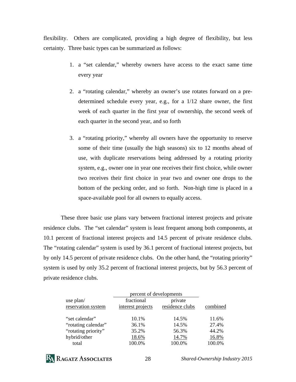flexibility. Others are complicated, providing a high degree of flexibility, but less certainty. Three basic types can be summarized as follows:

- 1. a "set calendar," whereby owners have access to the exact same time every year
- 2. a "rotating calendar," whereby an owner's use rotates forward on a predetermined schedule every year, e.g., for a 1/12 share owner, the first week of each quarter in the first year of ownership, the second week of each quarter in the second year, and so forth
- 3. a "rotating priority," whereby all owners have the opportunity to reserve some of their time (usually the high seasons) six to 12 months ahead of use, with duplicate reservations being addressed by a rotating priority system, e.g., owner one in year one receives their first choice, while owner two receives their first choice in year two and owner one drops to the bottom of the pecking order, and so forth. Non-high time is placed in a space-available pool for all owners to equally access.

 These three basic use plans vary between fractional interest projects and private residence clubs. The "set calendar" system is least frequent among both components, at 10.1 percent of fractional interest projects and 14.5 percent of private residence clubs. The "rotating calendar" system is used by 36.1 percent of fractional interest projects, but by only 14.5 percent of private residence clubs. On the other hand, the "rotating priority" system is used by only 35.2 percent of fractional interest projects, but by 56.3 percent of private residence clubs.

|                                 | percent of developments         |                            |          |
|---------------------------------|---------------------------------|----------------------------|----------|
| use plan/<br>reservation system | fractional<br>interest projects | private<br>residence clubs | combined |
| "set calendar"                  | 10.1%                           | 14.5%                      | 11.6%    |
| "rotating calendar"             | 36.1%                           | 14.5%                      | 27.4%    |
| "rotating priority"             | 35.2%                           | 56.3%                      | 44.2%    |
| hybrid/other                    | 18.6%                           | 14.7%                      | 16.8%    |
| total                           | 100.0%                          | 100.0%                     | 100.0%   |

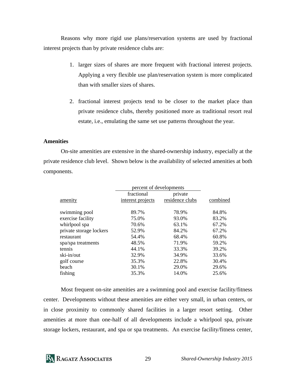Reasons why more rigid use plans/reservation systems are used by fractional interest projects than by private residence clubs are:

- 1. larger sizes of shares are more frequent with fractional interest projects. Applying a very flexible use plan/reservation system is more complicated than with smaller sizes of shares.
- 2. fractional interest projects tend to be closer to the market place than private residence clubs, thereby positioned more as traditional resort real estate, i.e., emulating the same set use patterns throughout the year.

#### **Amenities**

 On-site amenities are extensive in the shared-ownership industry, especially at the private residence club level. Shown below is the availability of selected amenities at both components.

|                         | percent of developments |                 |          |
|-------------------------|-------------------------|-----------------|----------|
|                         | fractional              | private         |          |
| amenity                 | interest projects       | residence clubs | combined |
| swimming pool           | 89.7%                   | 78.9%           | 84.8%    |
| exercise facility       | 75.0%                   | 93.0%           | 83.2%    |
| whirlpool spa           | 70.6%                   | 63.1%           | 67.2%    |
| private storage lockers | 52.9%                   | 84.2%           | 67.2%    |
| restaurant              | 54.4%                   | 68.4%           | 60.8%    |
| spa/spa treatments      | 48.5%                   | 71.9%           | 59.2%    |
| tennis                  | 44.1%                   | 33.3%           | 39.2%    |
| ski-in/out              | 32.9%                   | 34.9%           | 33.6%    |
| golf course             | 35.3%                   | 22.8%           | 30.4%    |
| beach                   | 30.1%                   | 29.0%           | 29.6%    |
| fishing                 | 35.3%                   | 14.0%           | 25.6%    |

 Most frequent on-site amenities are a swimming pool and exercise facility/fitness center. Developments without these amenities are either very small, in urban centers, or in close proximity to commonly shared facilities in a larger resort setting. Other amenities at more than one-half of all developments include a whirlpool spa, private storage lockers, restaurant, and spa or spa treatments. An exercise facility/fitness center,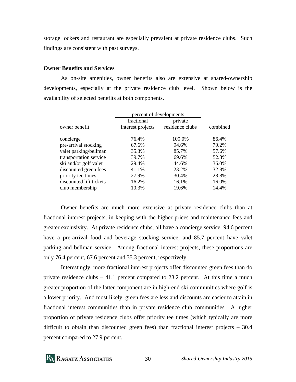storage lockers and restaurant are especially prevalent at private residence clubs. Such findings are consistent with past surveys.

#### **Owner Benefits and Services**

 As on-site amenities, owner benefits also are extensive at shared-ownership developments, especially at the private residence club level. Shown below is the availability of selected benefits at both components.

|                         | percent of developments |                 |          |
|-------------------------|-------------------------|-----------------|----------|
|                         | fractional              | private         |          |
| owner benefit           | interest projects       | residence clubs | combined |
| concierge               | 76.4%                   | 100.0%          | 86.4%    |
| pre-arrival stocking    | 67.6%                   | 94.6%           | 79.2%    |
| valet parking/bellman   | 35.3%                   | 85.7%           | 57.6%    |
| transportation service  | 39.7%                   | 69.6%           | 52.8%    |
| ski and/or golf valet   | 29.4%                   | 44.6%           | 36.0%    |
| discounted green fees   | 41.1%                   | 23.2%           | 32.8%    |
| priority tee times      | 27.9%                   | 30.4%           | 28.8%    |
| discounted lift tickets | 16.2%                   | 16.1%           | 16.0%    |
| club membership         | 10.3%                   | 19.6%           | 14.4%    |

 Owner benefits are much more extensive at private residence clubs than at fractional interest projects, in keeping with the higher prices and maintenance fees and greater exclusivity. At private residence clubs, all have a concierge service, 94.6 percent have a pre-arrival food and beverage stocking service, and 85.7 percent have valet parking and bellman service. Among fractional interest projects, these proportions are only 76.4 percent, 67.6 percent and 35.3 percent, respectively.

 Interestingly, more fractional interest projects offer discounted green fees than do private residence clubs – 41.1 percent compared to 23.2 percent. At this time a much greater proportion of the latter component are in high-end ski communities where golf is a lower priority. And most likely, green fees are less and discounts are easier to attain in fractional interest communities than in private residence club communities. A higher proportion of private residence clubs offer priority tee times (which typically are more difficult to obtain than discounted green fees) than fractional interest projects – 30.4 percent compared to 27.9 percent.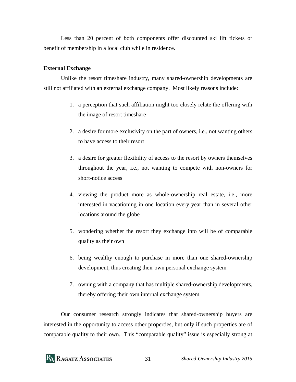Less than 20 percent of both components offer discounted ski lift tickets or benefit of membership in a local club while in residence.

#### **External Exchange**

 Unlike the resort timeshare industry, many shared-ownership developments are still not affiliated with an external exchange company. Most likely reasons include:

- 1. a perception that such affiliation might too closely relate the offering with the image of resort timeshare
- 2. a desire for more exclusivity on the part of owners, i.e., not wanting others to have access to their resort
- 3. a desire for greater flexibility of access to the resort by owners themselves throughout the year, i.e., not wanting to compete with non-owners for short-notice access
- 4. viewing the product more as whole-ownership real estate, i.e., more interested in vacationing in one location every year than in several other locations around the globe
- 5. wondering whether the resort they exchange into will be of comparable quality as their own
- 6. being wealthy enough to purchase in more than one shared-ownership development, thus creating their own personal exchange system
- 7. owning with a company that has multiple shared-ownership developments, thereby offering their own internal exchange system

 Our consumer research strongly indicates that shared-ownership buyers are interested in the opportunity to access other properties, but only if such properties are of comparable quality to their own. This "comparable quality" issue is especially strong at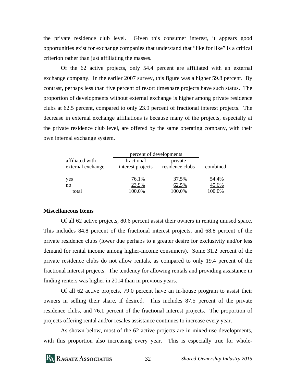the private residence club level. Given this consumer interest, it appears good opportunities exist for exchange companies that understand that "like for like" is a critical criterion rather than just affiliating the masses.

 Of the 62 active projects, only 54.4 percent are affiliated with an external exchange company. In the earlier 2007 survey, this figure was a higher 59.8 percent. By contrast, perhaps less than five percent of resort timeshare projects have such status. The proportion of developments without external exchange is higher among private residence clubs at 62.5 percent, compared to only 23.9 percent of fractional interest projects. The decrease in external exchange affiliations is because many of the projects, especially at the private residence club level, are offered by the same operating company, with their own internal exchange system.

|                   | percent of developments |                 |          |
|-------------------|-------------------------|-----------------|----------|
| affiliated with   | fractional              | private         |          |
| external exchange | interest projects       | residence clubs | combined |
|                   |                         |                 |          |
| yes               | 76.1%                   | 37.5%           | 54.4%    |
| no                | 23.9%                   | 62.5%           | 45.6%    |
| total             | 100.0%                  | 100.0%          | 100.0%   |

#### **Miscellaneous Items**

 Of all 62 active projects, 80.6 percent assist their owners in renting unused space. This includes 84.8 percent of the fractional interest projects, and 68.8 percent of the private residence clubs (lower due perhaps to a greater desire for exclusivity and/or less demand for rental income among higher-income consumers). Some 31.2 percent of the private residence clubs do not allow rentals, as compared to only 19.4 percent of the fractional interest projects. The tendency for allowing rentals and providing assistance in finding renters was higher in 2014 than in previous years.

 Of all 62 active projects, 79.0 percent have an in-house program to assist their owners in selling their share, if desired. This includes 87.5 percent of the private residence clubs, and 76.1 percent of the fractional interest projects. The proportion of projects offering rental and/or resales assistance continues to increase every year.

 As shown below, most of the 62 active projects are in mixed-use developments, with this proportion also increasing every year. This is especially true for whole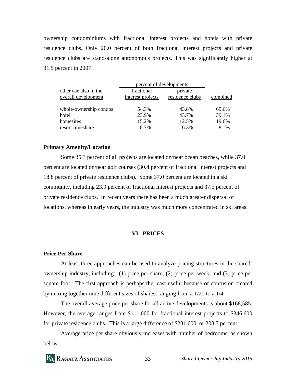ownership condominiums with fractional interest projects and hotels with private residence clubs. Only 20.0 percent of both fractional interest projects and private residence clubs are stand-alone autonomous projects. This was significantly higher at 31.5 percent in 2007.

|                                              | percent of developments         |                            |          |
|----------------------------------------------|---------------------------------|----------------------------|----------|
| other use also in the<br>overall development | fractional<br>interest projects | private<br>residence clubs | combined |
| whole-ownership condos                       | 54.3%                           | 43.8%                      | 69.6%    |
| hotel                                        | 23.9%                           | 43.7%                      | 39.1%    |
| homesites                                    | 15.2%                           | 12.5%                      | 19.6%    |
| resort timeshare                             | 8.7%                            | 6.3%                       | 8.1%     |

#### **Primary Amenity/Location**

 Some 35.3 percent of all projects are located on/near ocean beaches, while 37.0 percent are located on/near golf courses (30.4 percent of fractional interest projects and 18.8 percent of private residence clubs). Some 37.0 percent are located in a ski community, including 23.9 percent of fractional interest projects and 37.5 percent of private residence clubs. In recent years there has been a much greater dispersal of locations, whereas in early years, the industry was much more concentrated in ski areas.

#### **VI. PRICES**

#### **Price Per Share**

 At least three approaches can be used to analyze pricing structures in the sharedownership industry, including: (1) price per share; (2) price per week; and (3) price per square foot. The first approach is perhaps the least useful because of confusion created by mixing together nine different sizes of shares, ranging from a 1/20 to a 1/4.

 The overall average price per share for all active developments is about \$168,585. However, the average ranges from \$111,000 for fractional interest projects to \$346,600 for private residence clubs. This is a large difference of \$231,600, or 208.7 percent.

 Average price per share obviously increases with number of bedrooms, as shown below.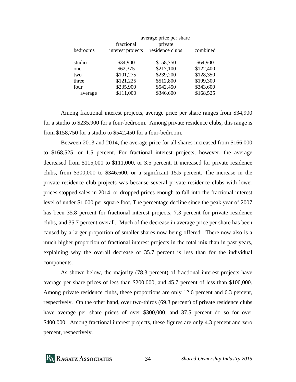|          | average price per share |                 |           |
|----------|-------------------------|-----------------|-----------|
|          | fractional              | private         |           |
| bedrooms | interest projects       | residence clubs | combined  |
|          |                         |                 |           |
| studio   | \$34,900                | \$158,750       | \$64,900  |
| one      | \$62,375                | \$217,100       | \$122,400 |
| two      | \$101,275               | \$239,200       | \$128,350 |
| three    | \$121,225               | \$512,800       | \$199,300 |
| four     | \$235,900               | \$542,450       | \$343,600 |
| average  | \$111,000               | \$346,600       | \$168,525 |

 Among fractional interest projects, average price per share ranges from \$34,900 for a studio to \$235,900 for a four-bedroom. Among private residence clubs, this range is from \$158,750 for a studio to \$542,450 for a four-bedroom.

 Between 2013 and 2014, the average price for all shares increased from \$166,000 to \$168,525, or 1.5 percent. For fractional interest projects, however, the average decreased from \$115,000 to \$111,000, or 3.5 percent. It increased for private residence clubs, from \$300,000 to \$346,600, or a significant 15.5 percent. The increase in the private residence club projects was because several private residence clubs with lower prices stopped sales in 2014, or dropped prices enough to fall into the fractional interest level of under \$1,000 per square foot. The percentage decline since the peak year of 2007 has been 35.8 percent for fractional interest projects, 7.3 percent for private residence clubs, and 35.7 percent overall. Much of the decrease in average price per share has been caused by a larger proportion of smaller shares now being offered. There now also is a much higher proportion of fractional interest projects in the total mix than in past years, explaining why the overall decrease of 35.7 percent is less than for the individual components.

 As shown below, the majority (78.3 percent) of fractional interest projects have average per share prices of less than \$200,000, and 45.7 percent of less than \$100,000. Among private residence clubs, these proportions are only 12.6 percent and 6.3 percent, respectively. On the other hand, over two-thirds (69.3 percent) of private residence clubs have average per share prices of over \$300,000, and 37.5 percent do so for over \$400,000. Among fractional interest projects, these figures are only 4.3 percent and zero percent, respectively.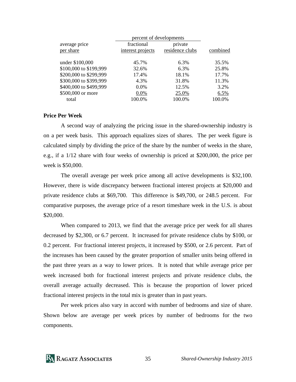|                        | percent of developments |                 |          |  |
|------------------------|-------------------------|-----------------|----------|--|
| average price          | fractional              | private         |          |  |
| per share              | interest projects       | residence clubs | combined |  |
| under \$100,000        | 45.7%                   | 6.3%            | 35.5%    |  |
| \$100,000 to \$199,999 | 32.6%                   | 6.3%            | 25.8%    |  |
| \$200,000 to \$299,999 | 17.4%                   | 18.1%           | 17.7%    |  |
| \$300,000 to \$399,999 | 4.3%                    | 31.8%           | 11.3%    |  |
| \$400,000 to \$499,999 | $0.0\%$                 | 12.5%           | 3.2%     |  |
| \$500,000 or more      | 0.0%                    | 25.0%           | 6.5%     |  |
| total                  | 100.0%                  | 100.0%          | 100.0%   |  |

#### **Price Per Week**

 A second way of analyzing the pricing issue in the shared-ownership industry is on a per week basis. This approach equalizes sizes of shares. The per week figure is calculated simply by dividing the price of the share by the number of weeks in the share, e.g., if a 1/12 share with four weeks of ownership is priced at \$200,000, the price per week is \$50,000.

 The overall average per week price among all active developments is \$32,100. However, there is wide discrepancy between fractional interest projects at \$20,000 and private residence clubs at \$69,700. This difference is \$49,700, or 248.5 percent. For comparative purposes, the average price of a resort timeshare week in the U.S. is about \$20,000.

 When compared to 2013, we find that the average price per week for all shares decreased by \$2,300, or 6.7 percent. It increased for private residence clubs by \$100, or 0.2 percent. For fractional interest projects, it increased by \$500, or 2.6 percent. Part of the increases has been caused by the greater proportion of smaller units being offered in the past three years as a way to lower prices. It is noted that while average price per week increased both for fractional interest projects and private residence clubs, the overall average actually decreased. This is because the proportion of lower priced fractional interest projects in the total mix is greater than in past years.

 Per week prices also vary in accord with number of bedrooms and size of share. Shown below are average per week prices by number of bedrooms for the two components.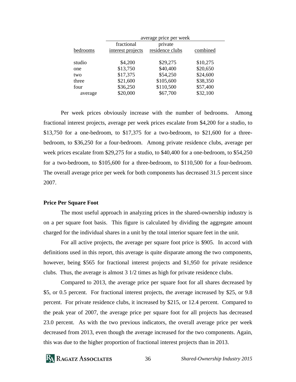|          | average price per week |                 |          |
|----------|------------------------|-----------------|----------|
|          | fractional             | private         |          |
| bedrooms | interest projects      | residence clubs | combined |
|          |                        |                 |          |
| studio   | \$4,200                | \$29,275        | \$10,275 |
| one      | \$13,750               | \$40,400        | \$20,650 |
| two      | \$17,375               | \$54,250        | \$24,600 |
| three    | \$21,600               | \$105,600       | \$38,350 |
| four     | \$36,250               | \$110,500       | \$57,400 |
| average  | \$20,000               | \$67,700        | \$32,100 |

 Per week prices obviously increase with the number of bedrooms. Among fractional interest projects, average per week prices escalate from \$4,200 for a studio, to  $$13,750$  for a one-bedroom, to  $$17,375$  for a two-bedroom, to  $$21,600$  for a threebedroom, to \$36,250 for a four-bedroom. Among private residence clubs, average per week prices escalate from \$29,275 for a studio, to \$40,400 for a one-bedroom, to \$54,250 for a two-bedroom, to \$105,600 for a three-bedroom, to \$110,500 for a four-bedroom. The overall average price per week for both components has decreased 31.5 percent since 2007.

#### **Price Per Square Foot**

 The most useful approach in analyzing prices in the shared-ownership industry is on a per square foot basis. This figure is calculated by dividing the aggregate amount charged for the individual shares in a unit by the total interior square feet in the unit.

 For all active projects, the average per square foot price is \$905. In accord with definitions used in this report, this average is quite disparate among the two components, however, being \$565 for fractional interest projects and \$1,950 for private residence clubs. Thus, the average is almost 3 1/2 times as high for private residence clubs.

 Compared to 2013, the average price per square foot for all shares decreased by \$5, or 0.5 percent. For fractional interest projects, the average increased by \$25, or 9.8 percent. For private residence clubs, it increased by \$215, or 12.4 percent. Compared to the peak year of 2007, the average price per square foot for all projects has decreased 23.0 percent. As with the two previous indicators, the overall average price per week decreased from 2013, even though the average increased for the two components. Again, this was due to the higher proportion of fractional interest projects than in 2013.

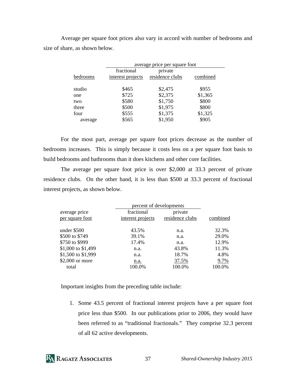Average per square foot prices also vary in accord with number of bedrooms and size of share, as shown below.

|          | average price per square foot |                 |          |
|----------|-------------------------------|-----------------|----------|
|          | fractional                    | private         |          |
| bedrooms | interest projects             | residence clubs | combined |
| studio   | \$465                         | \$2,475         | \$955    |
| one      | \$725                         | \$2,375         | \$1,365  |
| two      | \$580                         | \$1,750         | \$800    |
| three    | \$500                         | \$1,975         | \$800    |
| four     | \$555                         | \$1,375         | \$1,325  |
| average  | \$565                         | \$1,950         | \$905    |

 For the most part, average per square foot prices decrease as the number of bedrooms increases. This is simply because it costs less on a per square foot basis to build bedrooms and bathrooms than it does kitchens and other core facilities.

The average per square foot price is over \$2,000 at 33.3 percent of private residence clubs. On the other hand, it is less than \$500 at 33.3 percent of fractional interest projects, as shown below.

| percent of developments |                 |          |  |
|-------------------------|-----------------|----------|--|
| fractional              | private         |          |  |
| interest projects       | residence clubs | combined |  |
| 43.5%                   | n.a.            | 32.3%    |  |
| 39.1%                   | n.a.            | 29.0%    |  |
| 17.4%                   | n.a.            | 12.9%    |  |
| n.a.                    | 43.8%           | 11.3%    |  |
| n.a.                    | 18.7%           | 4.8%     |  |
| n.a.                    | 37.5%           | 9.7%     |  |
| 100.0%                  | 100.0%          | 100.0%   |  |
|                         |                 |          |  |

Important insights from the preceding table include:

1. Some 43.5 percent of fractional interest projects have a per square foot price less than \$500. In our publications prior to 2006, they would have been referred to as "traditional fractionals." They comprise 32.3 percent of all 62 active developments.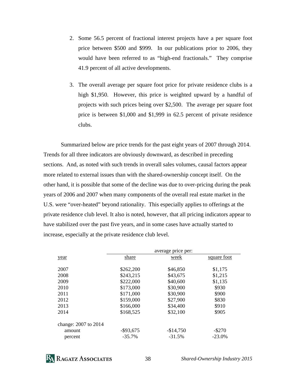- 2. Some 56.5 percent of fractional interest projects have a per square foot price between \$500 and \$999. In our publications prior to 2006, they would have been referred to as "high-end fractionals." They comprise 41.9 percent of all active developments.
- 3. The overall average per square foot price for private residence clubs is a high \$1,950. However, this price is weighted upward by a handful of projects with such prices being over \$2,500. The average per square foot price is between \$1,000 and \$1,999 in 62.5 percent of private residence clubs.

 Summarized below are price trends for the past eight years of 2007 through 2014. Trends for all three indicators are obviously downward, as described in preceding sections. And, as noted with such trends in overall sales volumes, causal factors appear more related to external issues than with the shared-ownership concept itself. On the other hand, it is possible that some of the decline was due to over-pricing during the peak years of 2006 and 2007 when many components of the overall real estate market in the U.S. were "over-heated" beyond rationality. This especially applies to offerings at the private residence club level. It also is noted, however, that all pricing indicators appear to have stabilized over the past five years, and in some cases have actually started to increase, especially at the private residence club level.

|                      | average price per: |            |             |
|----------------------|--------------------|------------|-------------|
| year                 | share              | week       | square foot |
| 2007                 | \$262,200          | \$46,850   | \$1,175     |
| 2008                 | \$243,215          | \$43,675   | \$1,215     |
| 2009                 | \$222,000          | \$40,600   | \$1,135     |
| 2010                 | \$173,000          | \$30,900   | \$930       |
| 2011                 | \$171,000          | \$30,900   | \$900       |
| 2012                 | \$159,000          | \$27,900   | \$830       |
| 2013                 | \$166,000          | \$34,400   | \$910       |
| 2014                 | \$168,525          | \$32,100   | \$905       |
| change: 2007 to 2014 |                    |            |             |
| amount               | $-$ \$93,675       | $-$14,750$ | $-$ \$270   |
| percent              | $-35.7%$           | $-31.5%$   | $-23.0%$    |

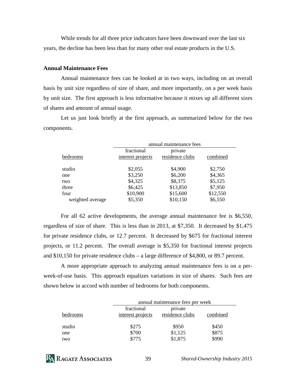While trends for all three price indicators have been downward over the last six years, the decline has been less than for many other real estate products in the U.S.

#### **Annual Maintenance Fees**

 Annual maintenance fees can be looked at in two ways, including on an overall basis by unit size regardless of size of share, and more importantly, on a per week basis by unit size. The first approach is less informative because it mixes up all different sizes of shares and amount of annual usage.

 Let us just look briefly at the first approach, as summarized below for the two components.

|                  | annual maintenance fees |                 |          |
|------------------|-------------------------|-----------------|----------|
|                  | fractional              | private         |          |
| bedrooms         | interest projects       | residence clubs | combined |
| studio           | \$2,055                 | \$4,900         | \$2,750  |
| one              | \$3,250                 | \$6,200         | \$4,365  |
| two              | \$4,325                 | \$8,375         | \$5,125  |
| three            | \$6,425                 | \$13,850        | \$7,950  |
| four             | \$10,900                | \$15,600        | \$12,550 |
| weighted average | \$5,350                 | \$10,150        | \$6,550  |

 For all 62 active developments, the average annual maintenance fee is \$6,550, regardless of size of share. This is less than in 2013, at \$7,350. It decreased by \$1,475 for private residence clubs, or 12.7 percent. It decreased by \$675 for fractional interest projects, or 11.2 percent. The overall average is \$5,350 for fractional interest projects and \$10,150 for private residence clubs – a large difference of \$4,800, or 89.7 percent.

 A more appropriate approach to analyzing annual maintenance fees is on a perweek-of-use basis. This approach equalizes variations in size of shares. Such fees are shown below in accord with number of bedrooms for both components.

|          | annual maintenance fees per week |                            |          |
|----------|----------------------------------|----------------------------|----------|
| bedrooms | fractional<br>interest projects  | private<br>residence clubs | combined |
| studio   | \$275                            | \$950                      | \$450    |
| one      | \$700                            | \$1,125                    | \$875    |
| two      | \$775                            | \$1,875                    | \$990    |

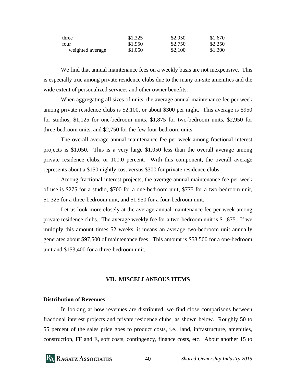| three            | \$1,325 | \$2,950 | \$1,670 |
|------------------|---------|---------|---------|
| four             | \$1,950 | \$2,750 | \$2,250 |
| weighted average | \$1,050 | \$2,100 | \$1,300 |

We find that annual maintenance fees on a weekly basis are not inexpensive. This is especially true among private residence clubs due to the many on-site amenities and the wide extent of personalized services and other owner benefits.

 When aggregating all sizes of units, the average annual maintenance fee per week among private residence clubs is \$2,100, or about \$300 per night. This average is \$950 for studios, \$1,125 for one-bedroom units, \$1,875 for two-bedroom units, \$2,950 for three-bedroom units, and \$2,750 for the few four-bedroom units.

 The overall average annual maintenance fee per week among fractional interest projects is \$1,050. This is a very large \$1,050 less than the overall average among private residence clubs, or 100.0 percent. With this component, the overall average represents about a \$150 nightly cost versus \$300 for private residence clubs.

 Among fractional interest projects, the average annual maintenance fee per week of use is \$275 for a studio, \$700 for a one-bedroom unit, \$775 for a two-bedroom unit, \$1,325 for a three-bedroom unit, and \$1,950 for a four-bedroom unit.

 Let us look more closely at the average annual maintenance fee per week among private residence clubs. The average weekly fee for a two-bedroom unit is \$1,875. If we multiply this amount times 52 weeks, it means an average two-bedroom unit annually generates about \$97,500 of maintenance fees. This amount is \$58,500 for a one-bedroom unit and \$153,400 for a three-bedroom unit.

#### **VII. MISCELLANEOUS ITEMS**

#### **Distribution of Revenues**

 In looking at how revenues are distributed, we find close comparisons between fractional interest projects and private residence clubs, as shown below. Roughly 50 to 55 percent of the sales price goes to product costs, i.e., land, infrastructure, amenities, construction, FF and E, soft costs, contingency, finance costs, etc. About another 15 to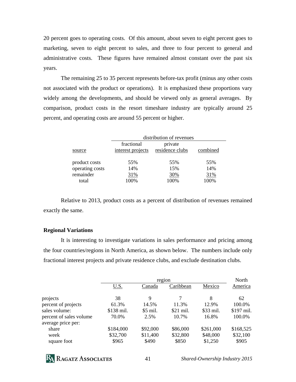20 percent goes to operating costs. Of this amount, about seven to eight percent goes to marketing, seven to eight percent to sales, and three to four percent to general and administrative costs. These figures have remained almost constant over the past six years.

 The remaining 25 to 35 percent represents before-tax profit (minus any other costs not associated with the product or operations). It is emphasized these proportions vary widely among the developments, and should be viewed only as general averages. By comparison, product costs in the resort timeshare industry are typically around 25 percent, and operating costs are around 55 percent or higher.

|                                                        | distribution of revenues        |                            |                           |
|--------------------------------------------------------|---------------------------------|----------------------------|---------------------------|
| source                                                 | fractional<br>interest projects | private<br>residence clubs | combined                  |
| product costs<br>operating costs<br>remainder<br>total | 55%<br>14%<br>31%<br>100%       | 55%<br>15%<br>30%<br>100%  | 55%<br>14%<br>31%<br>100% |

 Relative to 2013, product costs as a percent of distribution of revenues remained exactly the same.

#### **Regional Variations**

 It is interesting to investigate variations in sales performance and pricing among the four countries/regions in North America, as shown below. The numbers include only fractional interest projects and private residence clubs, and exclude destination clubs.

|                                               | region            |                   |                   | North               |                   |
|-----------------------------------------------|-------------------|-------------------|-------------------|---------------------|-------------------|
|                                               | <u>U.S.</u>       | Canada            | Caribbean         | Mexico              | America           |
| projects                                      | 38                | 9                 | 7                 | 8                   | 62                |
| percent of projects                           | 61.3%             | 14.5%             | 11.3%             | 12.9%               | 100.0%            |
| sales volume:                                 | \$138 mil.        | \$5 mil.          | \$21 mil.         | \$33 mil.           | \$197 mil.        |
| percent of sales volume<br>average price per: | 70.0%             | 2.5%              | 10.7%             | 16.8%               | 100.0%            |
| share                                         | \$184,000         | \$92,000          | \$86,000          | \$261,000           | \$168,525         |
| week<br>square foot                           | \$32,700<br>\$965 | \$11,400<br>\$490 | \$32,800<br>\$850 | \$48,000<br>\$1,250 | \$32,100<br>\$905 |
|                                               |                   |                   |                   |                     |                   |

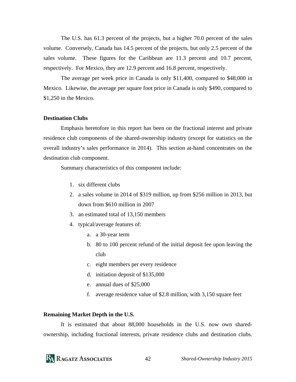The U.S. has 61.3 percent of the projects, but a higher 70.0 percent of the sales volume. Conversely, Canada has 14.5 percent of the projects, but only 2.5 percent of the sales volume. These figures for the Caribbean are 11.3 percent and 10.7 percent, respectively. For Mexico, they are 12.9 percent and 16.8 percent, respectively.

The average per week price in Canada is only \$11,400, compared to \$48,000 in Mexico. Likewise, the average per square foot price in Canada is only \$490, compared to \$1,250 in the Mexico.

#### **Destination Clubs**

 Emphasis heretofore in this report has been on the fractional interest and private residence club components of the shared-ownership industry (except for statistics on the overall industry's sales performance in 2014). This section at-hand concentrates on the destination club component.

Summary characteristics of this component include:

- 1. six different clubs
- 2. a sales volume in 2014 of \$319 million, up from \$256 million in 2013, but down from \$610 million in 2007
- 3. an estimated total of 13,150 members
- 4. typical/average features of:
	- a. a 30-year term
	- b. 80 to 100 percent refund of the initial deposit fee upon leaving the club
	- c. eight members per every residence
	- d. initiation deposit of \$135,000
	- e. annual dues of \$25,000
	- f. average residence value of \$2.8 million, with 3,150 square feet

#### **Remaining Market Depth in the U.S.**

 It is estimated that about 88,000 households in the U.S. now own sharedownership, including fractional interests, private residence clubs and destination clubs.

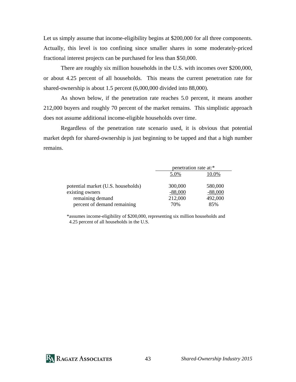Let us simply assume that income-eligibility begins at \$200,000 for all three components. Actually, this level is too confining since smaller shares in some moderately-priced fractional interest projects can be purchased for less than \$50,000.

 There are roughly six million households in the U.S. with incomes over \$200,000, or about 4.25 percent of all households. This means the current penetration rate for shared-ownership is about 1.5 percent (6,000,000 divided into 88,000).

 As shown below, if the penetration rate reaches 5.0 percent, it means another 212,000 buyers and roughly 70 percent of the market remains. This simplistic approach does not assume additional income-eligible households over time.

 Regardless of the penetration rate scenario used, it is obvious that potential market depth for shared-ownership is just beginning to be tapped and that a high number remains.

|                                    | penetration rate at:* |           |
|------------------------------------|-----------------------|-----------|
|                                    | 5.0%                  | 10.0%     |
| potential market (U.S. households) | 300,000               | 580,000   |
| existing owners                    | $-88,000$             | $-88,000$ |
| remaining demand                   | 212,000               | 492,000   |
| percent of demand remaining        | 70%                   | 85%       |

\*assumes income-eligibility of \$200,000, representing six million households and 4.25 percent of all households in the U.S.